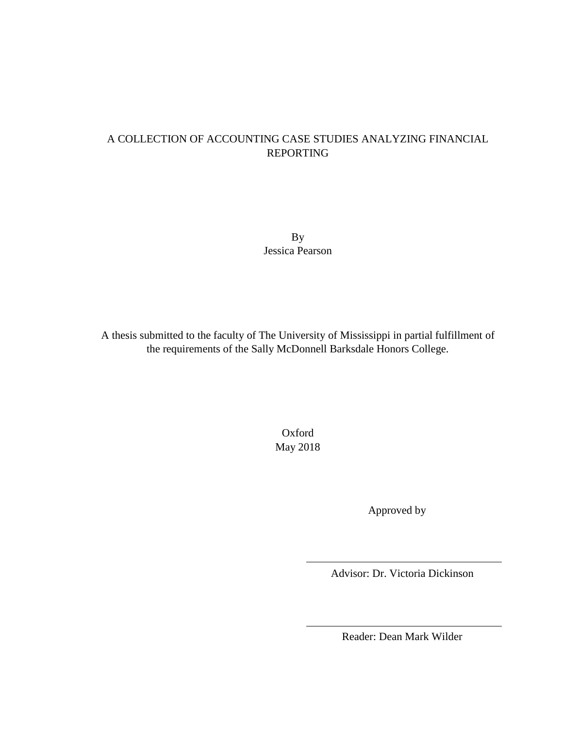## A COLLECTION OF ACCOUNTING CASE STUDIES ANALYZING FINANCIAL REPORTING

By Jessica Pearson

A thesis submitted to the faculty of The University of Mississippi in partial fulfillment of the requirements of the Sally McDonnell Barksdale Honors College.

> Oxford May 2018

> > Approved by

Advisor: Dr. Victoria Dickinson

Reader: Dean Mark Wilder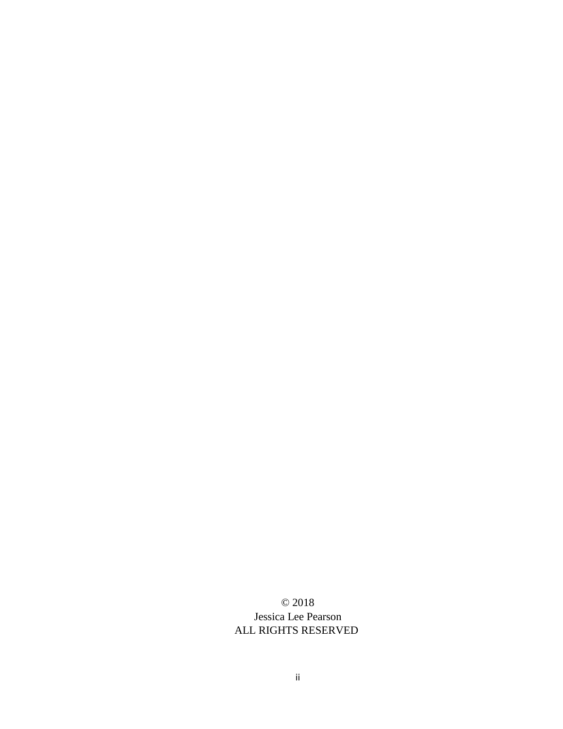© 2018 Jessica Lee Pearson ALL RIGHTS RESERVED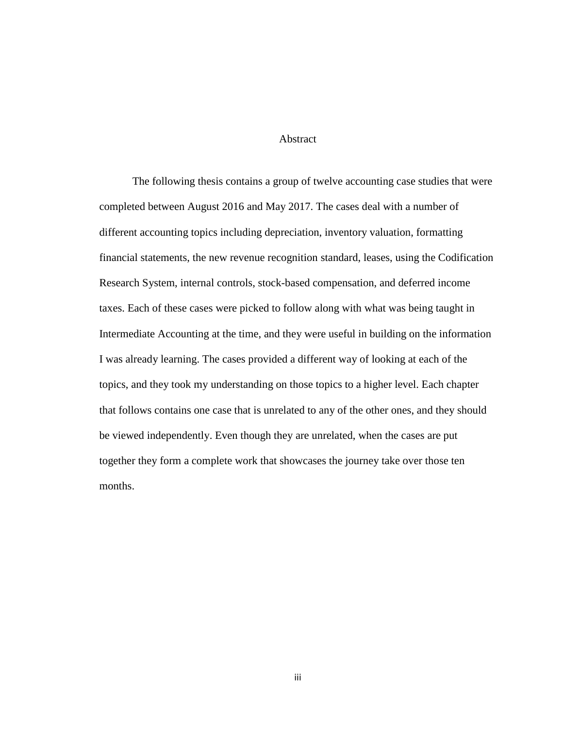#### Abstract

The following thesis contains a group of twelve accounting case studies that were completed between August 2016 and May 2017. The cases deal with a number of different accounting topics including depreciation, inventory valuation, formatting financial statements, the new revenue recognition standard, leases, using the Codification Research System, internal controls, stock-based compensation, and deferred income taxes. Each of these cases were picked to follow along with what was being taught in Intermediate Accounting at the time, and they were useful in building on the information I was already learning. The cases provided a different way of looking at each of the topics, and they took my understanding on those topics to a higher level. Each chapter that follows contains one case that is unrelated to any of the other ones, and they should be viewed independently. Even though they are unrelated, when the cases are put together they form a complete work that showcases the journey take over those ten months.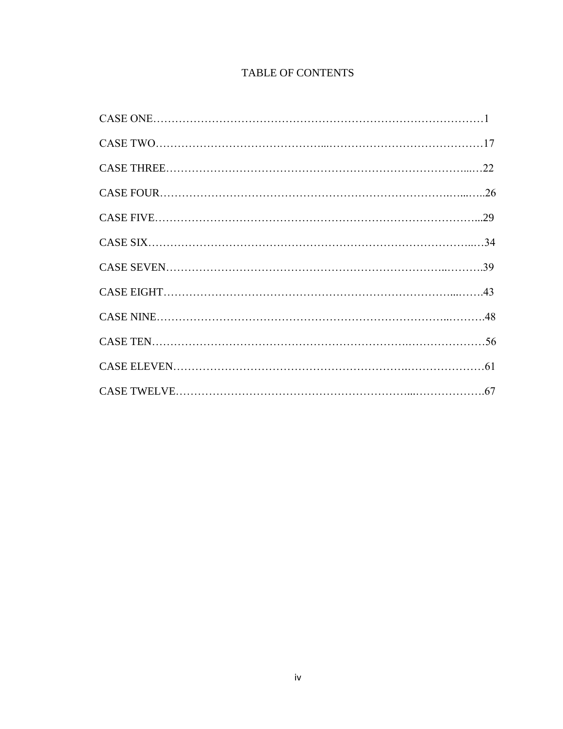# TABLE OF CONTENTS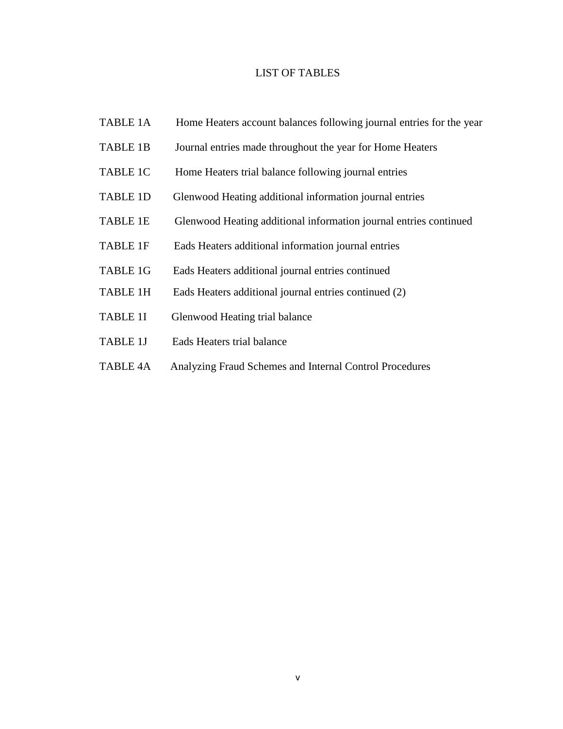#### LIST OF TABLES

- TABLE 1A Home Heaters account balances following journal entries for the year
- TABLE 1B Journal entries made throughout the year for Home Heaters
- TABLE 1C Home Heaters trial balance following journal entries
- TABLE 1D Glenwood Heating additional information journal entries
- TABLE 1E Glenwood Heating additional information journal entries continued
- TABLE 1F Eads Heaters additional information journal entries
- TABLE 1G Eads Heaters additional journal entries continued
- TABLE 1H Eads Heaters additional journal entries continued (2)
- TABLE 1I Glenwood Heating trial balance
- TABLE 1J Eads Heaters trial balance
- TABLE 4A Analyzing Fraud Schemes and Internal Control Procedures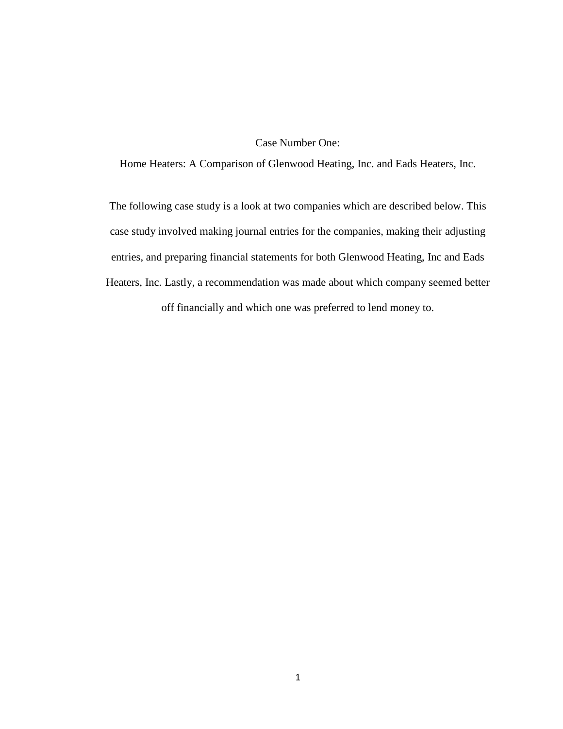### Case Number One:

Home Heaters: A Comparison of Glenwood Heating, Inc. and Eads Heaters, Inc.

The following case study is a look at two companies which are described below. This case study involved making journal entries for the companies, making their adjusting entries, and preparing financial statements for both Glenwood Heating, Inc and Eads Heaters, Inc. Lastly, a recommendation was made about which company seemed better

off financially and which one was preferred to lend money to.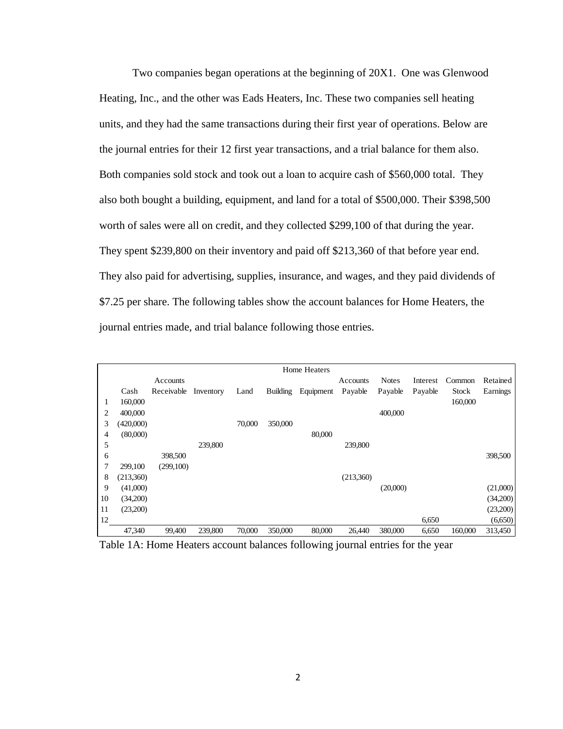Two companies began operations at the beginning of 20X1. One was Glenwood Heating, Inc., and the other was Eads Heaters, Inc. These two companies sell heating units, and they had the same transactions during their first year of operations. Below are the journal entries for their 12 first year transactions, and a trial balance for them also. Both companies sold stock and took out a loan to acquire cash of \$560,000 total. They also both bought a building, equipment, and land for a total of \$500,000. Their \$398,500 worth of sales were all on credit, and they collected \$299,100 of that during the year. They spent \$239,800 on their inventory and paid off \$213,360 of that before year end. They also paid for advertising, supplies, insurance, and wages, and they paid dividends of \$7.25 per share. The following tables show the account balances for Home Heaters, the journal entries made, and trial balance following those entries.

|    |           |                      |         |        |                 | Home Heaters |           |              |          |         |          |
|----|-----------|----------------------|---------|--------|-----------------|--------------|-----------|--------------|----------|---------|----------|
|    |           | Accounts             |         |        |                 |              | Accounts  | <b>Notes</b> | Interest | Common  | Retained |
|    | Cash      | Receivable Inventory |         | Land   | <b>Building</b> | Equipment    | Payable   | Payable      | Payable  | Stock   | Earnings |
|    | 160,000   |                      |         |        |                 |              |           |              |          | 160,000 |          |
| 2  | 400,000   |                      |         |        |                 |              |           | 400,000      |          |         |          |
| 3  | (420,000) |                      |         | 70,000 | 350,000         |              |           |              |          |         |          |
| 4  | (80,000)  |                      |         |        |                 | 80,000       |           |              |          |         |          |
| 5  |           |                      | 239,800 |        |                 |              | 239,800   |              |          |         |          |
| 6  |           | 398,500              |         |        |                 |              |           |              |          |         | 398,500  |
| 7  | 299,100   | (299,100)            |         |        |                 |              |           |              |          |         |          |
| 8  | (213,360) |                      |         |        |                 |              | (213,360) |              |          |         |          |
| 9  | (41,000)  |                      |         |        |                 |              |           | (20,000)     |          |         | (21,000) |
| 10 | (34,200)  |                      |         |        |                 |              |           |              |          |         | (34,200) |
| 11 | (23,200)  |                      |         |        |                 |              |           |              |          |         | (23,200) |
| 12 |           |                      |         |        |                 |              |           |              | 6,650    |         | (6,650)  |
|    | 47,340    | 99,400               | 239,800 | 70,000 | 350,000         | 80,000       | 26,440    | 380,000      | 6,650    | 160,000 | 313,450  |

Table 1A: Home Heaters account balances following journal entries for the year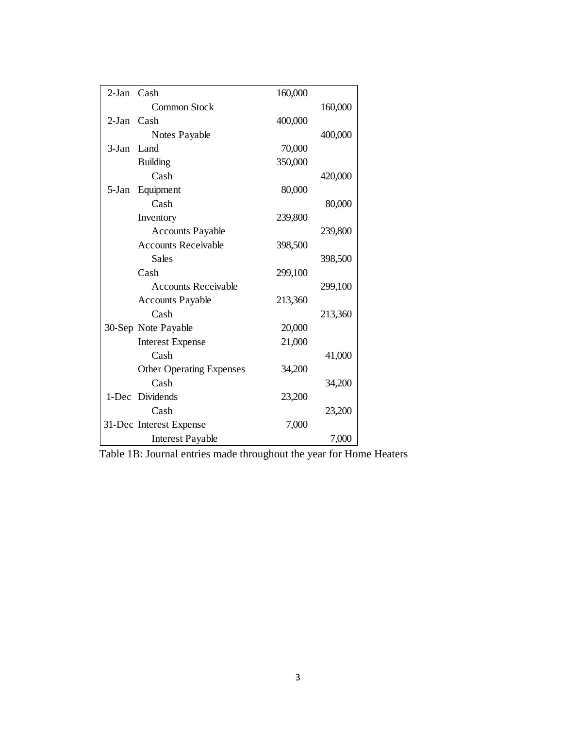| 2-Jan Cash |                                 | 160,000 |         |
|------------|---------------------------------|---------|---------|
|            | Common Stock                    |         | 160,000 |
| 2-Jan Cash |                                 | 400,000 |         |
|            | Notes Payable                   |         | 400,000 |
| $3-Jan$    | Land                            | 70,000  |         |
|            | <b>Building</b>                 | 350,000 |         |
|            | Cash                            |         | 420,000 |
| 5-Jan      | Equipment                       | 80,000  |         |
|            | Cash                            |         | 80,000  |
|            | Inventory                       | 239,800 |         |
|            | <b>Accounts Payable</b>         |         | 239,800 |
|            | <b>Accounts Receivable</b>      | 398,500 |         |
|            | Sales                           |         | 398,500 |
|            | Cash                            | 299,100 |         |
|            | <b>Accounts Receivable</b>      |         | 299,100 |
|            | <b>Accounts Payable</b>         | 213,360 |         |
|            | Cash                            |         | 213,360 |
|            | 30-Sep Note Payable             | 20,000  |         |
|            | <b>Interest Expense</b>         | 21,000  |         |
|            | Cash                            |         | 41,000  |
|            | <b>Other Operating Expenses</b> | 34,200  |         |
|            | Cash                            |         | 34,200  |
|            | 1-Dec Dividends                 | 23,200  |         |
|            | Cash                            |         | 23,200  |
|            | 31-Dec Interest Expense         | 7,000   |         |
|            | <b>Interest Payable</b>         |         | 7,000   |

Table 1B: Journal entries made throughout the year for Home Heaters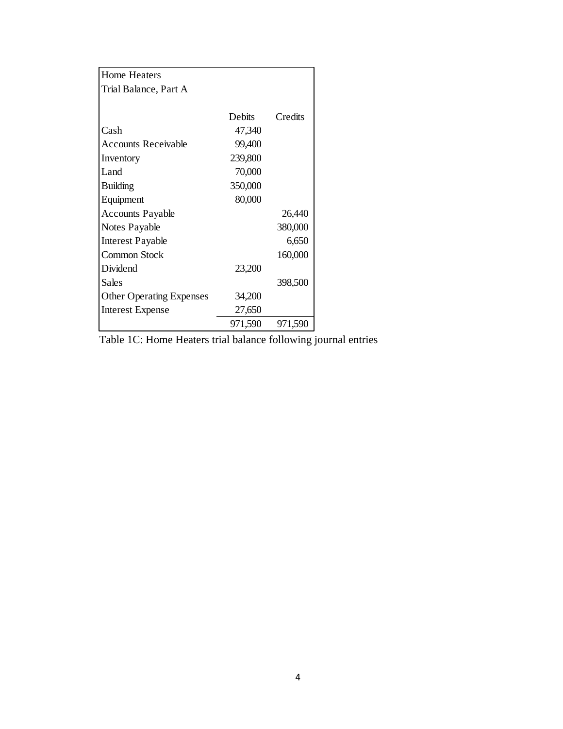| Home Heaters                    |               |         |
|---------------------------------|---------------|---------|
| Trial Balance, Part A           |               |         |
|                                 |               |         |
|                                 | <b>Debits</b> | Credits |
| Cash                            | 47,340        |         |
| <b>Accounts Receivable</b>      | 99,400        |         |
| Inventory                       | 239,800       |         |
| Land                            | 70,000        |         |
| <b>Building</b>                 | 350,000       |         |
| Equipment                       | 80,000        |         |
| <b>Accounts Payable</b>         |               | 26,440  |
| Notes Payable                   |               | 380,000 |
| <b>Interest Payable</b>         |               | 6,650   |
| Common Stock                    |               | 160,000 |
| Dividend                        | 23,200        |         |
| Sales                           |               | 398,500 |
| <b>Other Operating Expenses</b> | 34,200        |         |
| <b>Interest Expense</b>         | 27,650        |         |
|                                 | 971,590       | 971,590 |

Table 1C: Home Heaters trial balance following journal entries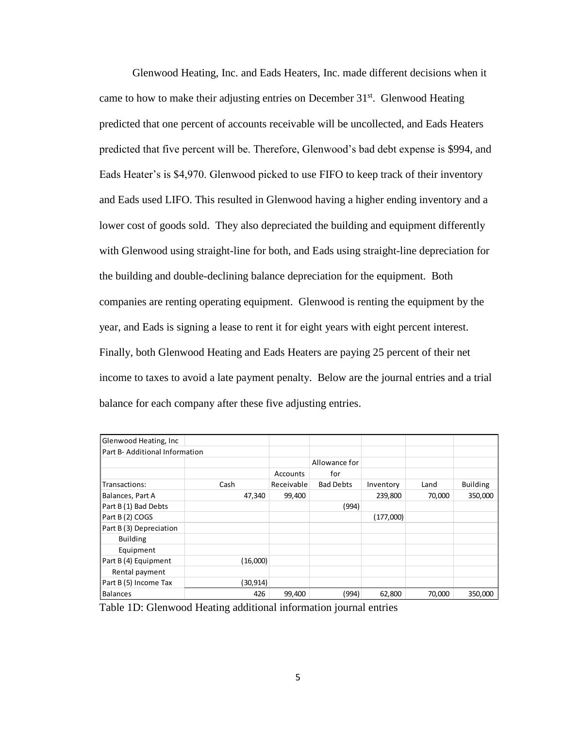Glenwood Heating, Inc. and Eads Heaters, Inc. made different decisions when it came to how to make their adjusting entries on December  $31<sup>st</sup>$ . Glenwood Heating predicted that one percent of accounts receivable will be uncollected, and Eads Heaters predicted that five percent will be. Therefore, Glenwood's bad debt expense is \$994, and Eads Heater's is \$4,970. Glenwood picked to use FIFO to keep track of their inventory and Eads used LIFO. This resulted in Glenwood having a higher ending inventory and a lower cost of goods sold. They also depreciated the building and equipment differently with Glenwood using straight-line for both, and Eads using straight-line depreciation for the building and double-declining balance depreciation for the equipment. Both companies are renting operating equipment. Glenwood is renting the equipment by the year, and Eads is signing a lease to rent it for eight years with eight percent interest. Finally, both Glenwood Heating and Eads Heaters are paying 25 percent of their net income to taxes to avoid a late payment penalty. Below are the journal entries and a trial balance for each company after these five adjusting entries.

| Glenwood Heating, Inc.        |          |            |                  |           |        |                 |
|-------------------------------|----------|------------|------------------|-----------|--------|-----------------|
| Part B-Additional Information |          |            |                  |           |        |                 |
|                               |          |            | Allowance for    |           |        |                 |
|                               |          | Accounts   | for              |           |        |                 |
| Transactions:                 | Cash     | Receivable | <b>Bad Debts</b> | Inventory | Land   | <b>Building</b> |
| Balances, Part A              | 47,340   | 99,400     |                  | 239,800   | 70,000 | 350,000         |
| Part B (1) Bad Debts          |          |            | (994)            |           |        |                 |
| Part B (2) COGS               |          |            |                  | (177,000) |        |                 |
| Part B (3) Depreciation       |          |            |                  |           |        |                 |
| <b>Building</b>               |          |            |                  |           |        |                 |
| Equipment                     |          |            |                  |           |        |                 |
| Part B (4) Equipment          | (16,000) |            |                  |           |        |                 |
| Rental payment                |          |            |                  |           |        |                 |
| Part B (5) Income Tax         | (30,914) |            |                  |           |        |                 |
| <b>Balances</b>               | 426      | 99,400     | (994)            | 62,800    | 70,000 | 350,000         |

Table 1D: Glenwood Heating additional information journal entries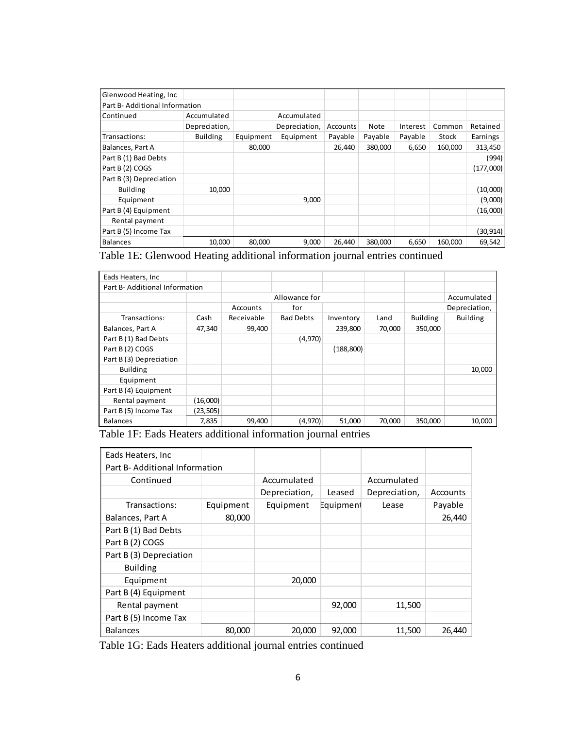| Glenwood Heating, Inc.         |                 |           |               |          |         |          |         |           |
|--------------------------------|-----------------|-----------|---------------|----------|---------|----------|---------|-----------|
| Part B- Additional Information |                 |           |               |          |         |          |         |           |
| Continued                      | Accumulated     |           | Accumulated   |          |         |          |         |           |
|                                | Depreciation,   |           | Depreciation, | Accounts | Note    | Interest | Common  | Retained  |
| Transactions:                  | <b>Building</b> | Equipment | Equipment     | Payable  | Payable | Payable  | Stock   | Earnings  |
| Balances, Part A               |                 | 80,000    |               | 26,440   | 380.000 | 6,650    | 160,000 | 313,450   |
| Part B (1) Bad Debts           |                 |           |               |          |         |          |         | (994)     |
| Part B (2) COGS                |                 |           |               |          |         |          |         | (177,000) |
| Part B (3) Depreciation        |                 |           |               |          |         |          |         |           |
| <b>Building</b>                | 10,000          |           |               |          |         |          |         | (10,000)  |
| Equipment                      |                 |           | 9,000         |          |         |          |         | (9,000)   |
| Part B (4) Equipment           |                 |           |               |          |         |          |         | (16,000)  |
| Rental payment                 |                 |           |               |          |         |          |         |           |
| Part B (5) Income Tax          |                 |           |               |          |         |          |         | (30,914)  |
| Balances                       | 10,000          | 80,000    | 9,000         | 26,440   | 380,000 | 6,650    | 160,000 | 69,542    |

Table 1E: Glenwood Heating additional information journal entries continued

| Eads Heaters, Inc.            |           |            |                  |            |        |                 |                 |
|-------------------------------|-----------|------------|------------------|------------|--------|-----------------|-----------------|
| Part B-Additional Information |           |            |                  |            |        |                 |                 |
|                               |           |            | Allowance for    |            |        |                 | Accumulated     |
|                               |           | Accounts   | for              |            |        |                 | Depreciation,   |
| Transactions:                 | Cash      | Receivable | <b>Bad Debts</b> | Inventory  | Land   | <b>Building</b> | <b>Building</b> |
| Balances, Part A              | 47,340    | 99,400     |                  | 239,800    | 70,000 | 350,000         |                 |
| Part B (1) Bad Debts          |           |            | (4,970)          |            |        |                 |                 |
| Part B (2) COGS               |           |            |                  | (188, 800) |        |                 |                 |
| Part B (3) Depreciation       |           |            |                  |            |        |                 |                 |
| <b>Building</b>               |           |            |                  |            |        |                 | 10,000          |
| Equipment                     |           |            |                  |            |        |                 |                 |
| Part B (4) Equipment          |           |            |                  |            |        |                 |                 |
| Rental payment                | (16,000)  |            |                  |            |        |                 |                 |
| Part B (5) Income Tax         | (23, 505) |            |                  |            |        |                 |                 |
| <b>Balances</b>               | 7,835     | 99,400     | (4,970)          | 51,000     | 70,000 | 350,000         | 10,000          |

Table 1F: Eads Heaters additional information journal entries

| Eads Heaters, Inc.             |           |               |           |               |          |
|--------------------------------|-----------|---------------|-----------|---------------|----------|
| Part B- Additional Information |           |               |           |               |          |
| Continued                      |           | Accumulated   |           | Accumulated   |          |
|                                |           | Depreciation, | Leased    | Depreciation, | Accounts |
| Transactions:                  | Equipment | Equipment     | Equipment | Lease         | Payable  |
| Balances, Part A               | 80,000    |               |           |               | 26,440   |
| Part B (1) Bad Debts           |           |               |           |               |          |
| Part B (2) COGS                |           |               |           |               |          |
| Part B (3) Depreciation        |           |               |           |               |          |
| <b>Building</b>                |           |               |           |               |          |
| Equipment                      |           | 20,000        |           |               |          |
| Part B (4) Equipment           |           |               |           |               |          |
| Rental payment                 |           |               | 92,000    | 11,500        |          |
| Part B (5) Income Tax          |           |               |           |               |          |
| <b>Balances</b>                | 80,000    | 20,000        | 92,000    | 11,500        | 26,440   |

Table 1G: Eads Heaters additional journal entries continued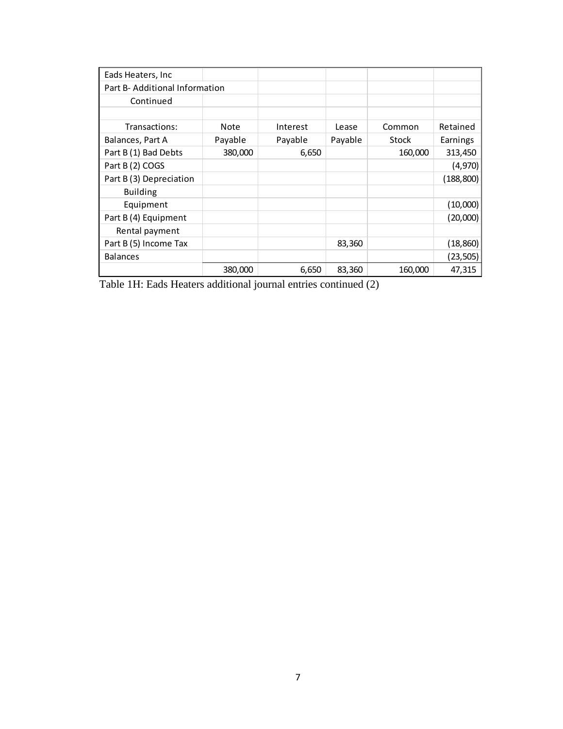| Eads Heaters, Inc.             |         |          |         |         |            |
|--------------------------------|---------|----------|---------|---------|------------|
| Part B- Additional Information |         |          |         |         |            |
| Continued                      |         |          |         |         |            |
|                                |         |          |         |         |            |
| Transactions:                  | Note    | Interest | Lease   | Common  | Retained   |
| Balances, Part A               | Payable | Payable  | Payable | Stock   | Earnings   |
| Part B (1) Bad Debts           | 380,000 | 6,650    |         | 160,000 | 313,450    |
| Part B (2) COGS                |         |          |         |         | (4,970)    |
| Part B (3) Depreciation        |         |          |         |         | (188, 800) |
| <b>Building</b>                |         |          |         |         |            |
| Equipment                      |         |          |         |         | (10,000)   |
| Part B (4) Equipment           |         |          |         |         | (20,000)   |
| Rental payment                 |         |          |         |         |            |
| Part B (5) Income Tax          |         |          | 83,360  |         | (18, 860)  |
| <b>Balances</b>                |         |          |         |         | (23, 505)  |
|                                | 380,000 | 6,650    | 83,360  | 160,000 | 47,315     |

Table 1H: Eads Heaters additional journal entries continued (2)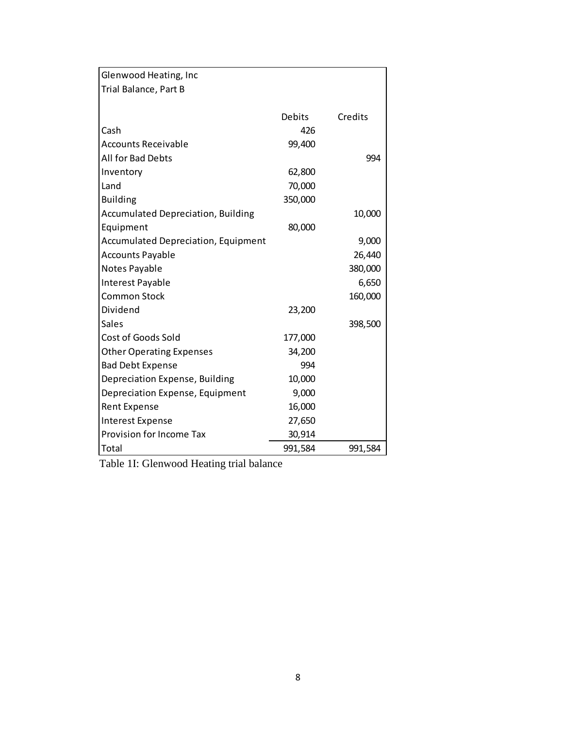| Glenwood Heating, Inc                      |         |         |
|--------------------------------------------|---------|---------|
| Trial Balance, Part B                      |         |         |
|                                            |         |         |
|                                            | Debits  | Credits |
| Cash                                       | 426     |         |
| <b>Accounts Receivable</b>                 | 99,400  |         |
| All for Bad Debts                          |         | 994     |
| Inventory                                  | 62,800  |         |
| Land                                       | 70,000  |         |
| <b>Building</b>                            | 350,000 |         |
| <b>Accumulated Depreciation, Building</b>  |         | 10,000  |
| Equipment                                  | 80,000  |         |
| <b>Accumulated Depreciation, Equipment</b> |         | 9,000   |
| <b>Accounts Payable</b>                    |         | 26,440  |
| Notes Payable                              |         | 380,000 |
| Interest Payable                           |         | 6,650   |
| <b>Common Stock</b>                        |         | 160,000 |
| Dividend                                   | 23,200  |         |
| Sales                                      |         | 398,500 |
| Cost of Goods Sold                         | 177,000 |         |
| <b>Other Operating Expenses</b>            | 34,200  |         |
| <b>Bad Debt Expense</b>                    | 994     |         |
| Depreciation Expense, Building             | 10,000  |         |
| Depreciation Expense, Equipment            | 9,000   |         |
| <b>Rent Expense</b>                        | 16,000  |         |
| <b>Interest Expense</b>                    | 27,650  |         |
| Provision for Income Tax                   | 30,914  |         |
| Total                                      | 991,584 | 991,584 |

Table 1I: Glenwood Heating trial balance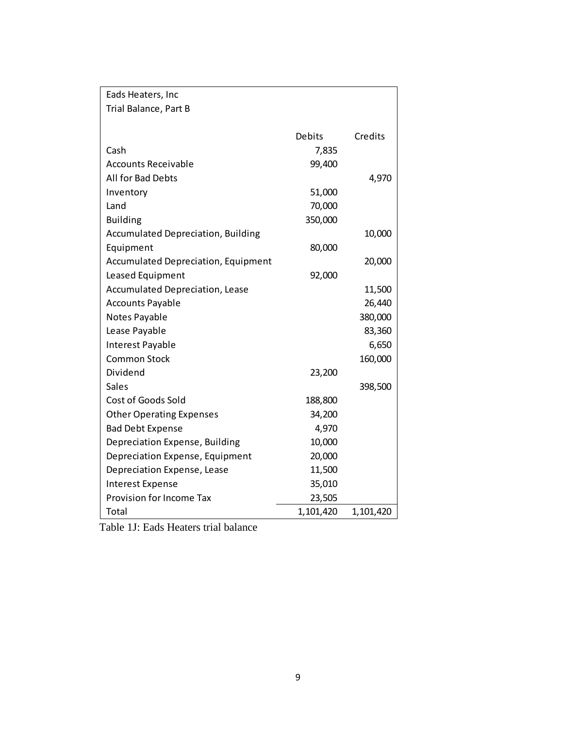| Eads Heaters, Inc                          |               |           |
|--------------------------------------------|---------------|-----------|
| Trial Balance, Part B                      |               |           |
|                                            |               |           |
|                                            | <b>Debits</b> | Credits   |
| Cash                                       | 7,835         |           |
| <b>Accounts Receivable</b>                 | 99,400        |           |
| All for Bad Debts                          |               | 4,970     |
| Inventory                                  | 51,000        |           |
| Land                                       | 70,000        |           |
| <b>Building</b>                            | 350,000       |           |
| <b>Accumulated Depreciation, Building</b>  |               | 10,000    |
| Equipment                                  | 80,000        |           |
| <b>Accumulated Depreciation, Equipment</b> |               | 20,000    |
| Leased Equipment                           | 92,000        |           |
| <b>Accumulated Depreciation, Lease</b>     |               | 11,500    |
| <b>Accounts Payable</b>                    |               | 26,440    |
| Notes Payable                              |               | 380,000   |
| Lease Payable                              |               | 83,360    |
| Interest Payable                           |               | 6,650     |
| <b>Common Stock</b>                        |               | 160,000   |
| Dividend                                   | 23,200        |           |
| Sales                                      |               | 398,500   |
| Cost of Goods Sold                         | 188,800       |           |
| <b>Other Operating Expenses</b>            | 34,200        |           |
| <b>Bad Debt Expense</b>                    | 4,970         |           |
| Depreciation Expense, Building             | 10,000        |           |
| Depreciation Expense, Equipment            | 20,000        |           |
| Depreciation Expense, Lease                | 11,500        |           |
| <b>Interest Expense</b>                    | 35,010        |           |
| Provision for Income Tax                   | 23,505        |           |
| Total                                      | 1,101,420     | 1,101,420 |

Table 1J: Eads Heaters trial balance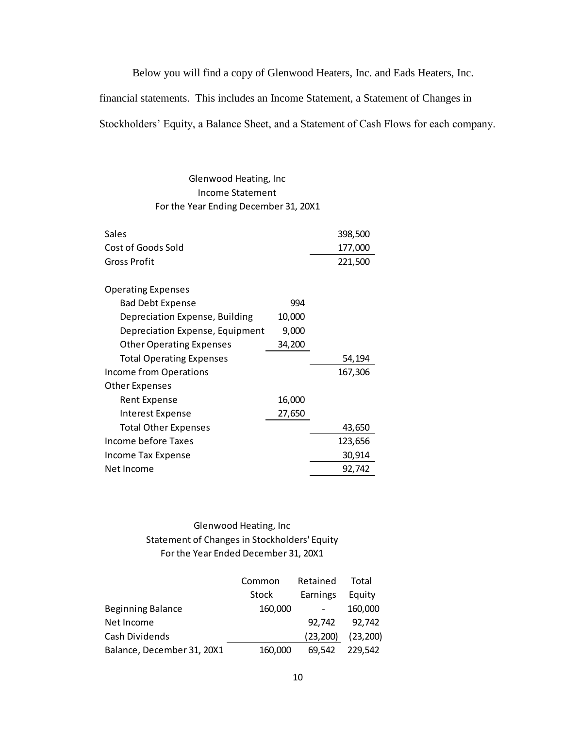Below you will find a copy of Glenwood Heaters, Inc. and Eads Heaters, Inc.

financial statements. This includes an Income Statement, a Statement of Changes in

Stockholders' Equity, a Balance Sheet, and a Statement of Cash Flows for each company.

### Glenwood Heating, Inc Income Statement For the Year Ending December 31, 20X1

| Sales                           |        | 398,500 |
|---------------------------------|--------|---------|
| Cost of Goods Sold              |        | 177,000 |
| Gross Profit                    |        | 221,500 |
|                                 |        |         |
| <b>Operating Expenses</b>       |        |         |
| <b>Bad Debt Expense</b>         | 994    |         |
| Depreciation Expense, Building  | 10,000 |         |
| Depreciation Expense, Equipment | 9,000  |         |
| <b>Other Operating Expenses</b> | 34,200 |         |
|                                 |        |         |
| <b>Total Operating Expenses</b> |        | 54,194  |
| Income from Operations          |        | 167,306 |
| Other Expenses                  |        |         |
| Rent Expense                    | 16,000 |         |
| Interest Expense                | 27,650 |         |
| <b>Total Other Expenses</b>     |        | 43,650  |
| Income before Taxes             |        | 123,656 |
| Income Tax Expense              |        | 30,914  |

### Glenwood Heating, Inc Statement of Changes in Stockholders' Equity For the Year Ended December 31, 20X1

|                            | Common  | Retained  | Total     |
|----------------------------|---------|-----------|-----------|
|                            | Stock   | Earnings  | Equity    |
| <b>Beginning Balance</b>   | 160,000 |           | 160,000   |
| Net Income                 |         | 92.742    | 92,742    |
| Cash Dividends             |         | (23, 200) | (23, 200) |
| Balance, December 31, 20X1 | 160,000 | 69.542    | 229.542   |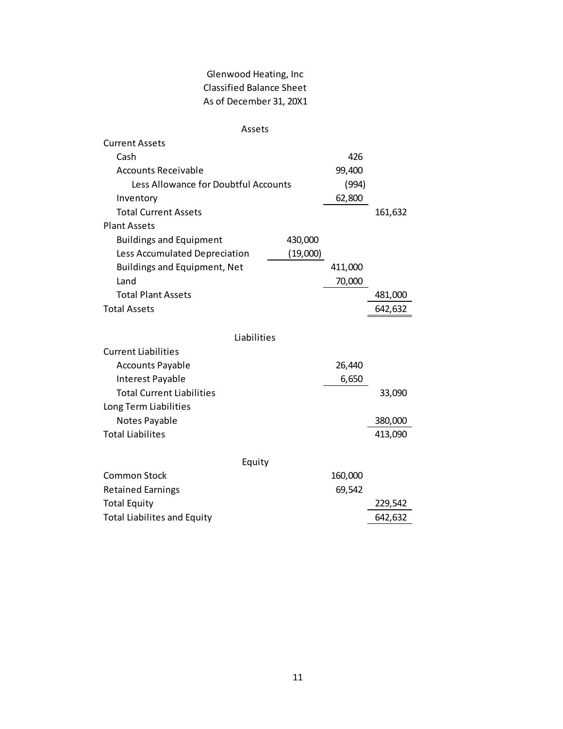## Glenwood Heating, Inc Classified Balance Sheet As of December 31, 20X1

| Assets                               |          |         |         |
|--------------------------------------|----------|---------|---------|
| <b>Current Assets</b>                |          |         |         |
| Cash                                 |          | 426     |         |
| <b>Accounts Receivable</b>           |          | 99,400  |         |
| Less Allowance for Doubtful Accounts |          | (994)   |         |
| Inventory                            |          | 62,800  |         |
| <b>Total Current Assets</b>          |          |         | 161,632 |
| <b>Plant Assets</b>                  |          |         |         |
| <b>Buildings and Equipment</b>       | 430,000  |         |         |
| Less Accumulated Depreciation        | (19,000) |         |         |
| <b>Buildings and Equipment, Net</b>  |          | 411,000 |         |
| Land                                 |          | 70,000  |         |
| <b>Total Plant Assets</b>            |          |         | 481,000 |
| <b>Total Assets</b>                  |          |         | 642,632 |
|                                      |          |         |         |
| Liabilities                          |          |         |         |
| <b>Current Liabilities</b>           |          |         |         |
| <b>Accounts Payable</b>              |          | 26,440  |         |
| Interest Payable                     |          | 6,650   |         |
| <b>Total Current Liabilities</b>     |          |         | 33,090  |
| Long Term Liabilities                |          |         |         |
| Notes Payable                        |          |         | 380,000 |
| <b>Total Liabilites</b>              |          |         | 413,090 |
|                                      |          |         |         |
| Equity                               |          |         |         |
| <b>Common Stock</b>                  |          | 160,000 |         |
| <b>Retained Earnings</b>             |          | 69,542  |         |
| <b>Total Equity</b>                  |          |         | 229,542 |
| <b>Total Liabilites and Equity</b>   |          |         | 642,632 |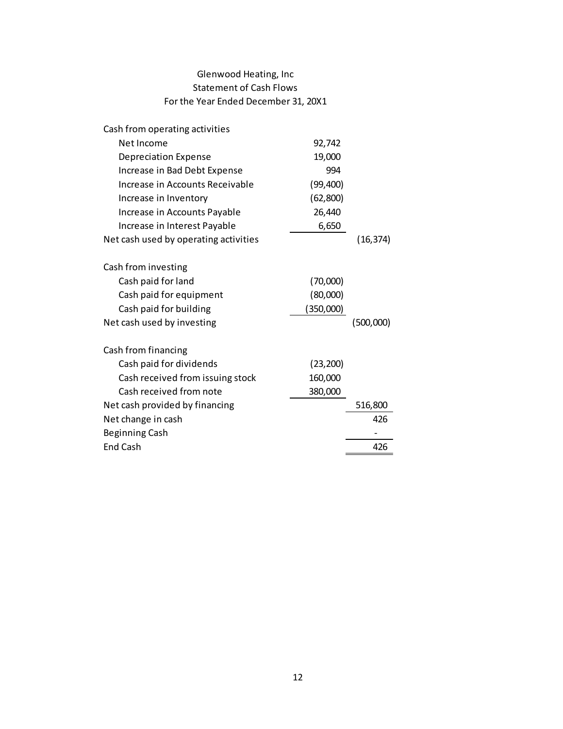### Glenwood Heating, Inc Statement of Cash Flows For the Year Ended December 31, 20X1

| Cash from operating activities        |           |           |
|---------------------------------------|-----------|-----------|
| Net Income                            | 92,742    |           |
| <b>Depreciation Expense</b>           | 19,000    |           |
| Increase in Bad Debt Expense          | 994       |           |
| Increase in Accounts Receivable       | (99, 400) |           |
| Increase in Inventory                 | (62,800)  |           |
| Increase in Accounts Payable          | 26,440    |           |
| Increase in Interest Payable          | 6,650     |           |
| Net cash used by operating activities |           | (16, 374) |
| Cash from investing                   |           |           |
| Cash paid for land                    | (70,000)  |           |
| Cash paid for equipment               | (80,000)  |           |
| Cash paid for building                | (350,000) |           |
| Net cash used by investing            |           | (500,000) |
| Cash from financing                   |           |           |
| Cash paid for dividends               | (23, 200) |           |
| Cash received from issuing stock      | 160,000   |           |
| Cash received from note               | 380,000   |           |
| Net cash provided by financing        |           | 516,800   |
| Net change in cash                    |           | 426       |
| <b>Beginning Cash</b>                 |           |           |
| <b>End Cash</b>                       |           | 426       |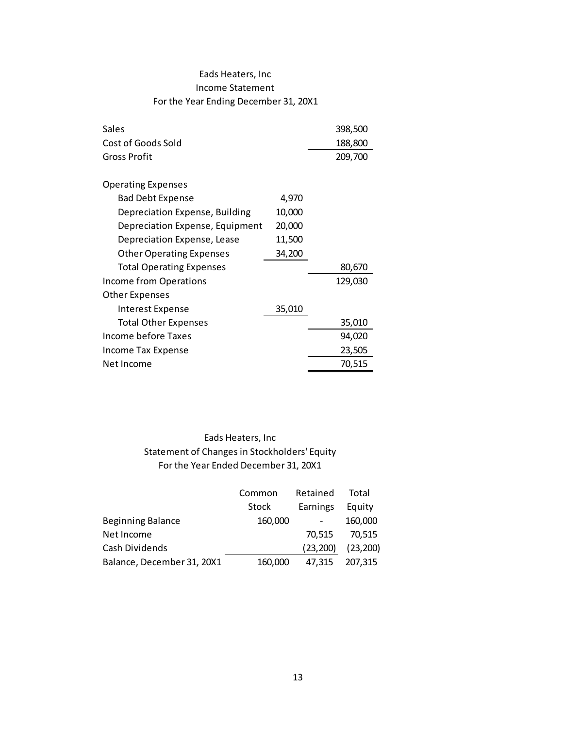### Eads Heaters, Inc Income Statement For the Year Ending December 31, 20X1

| Sales                                                                                                     |              |          | 398,500   |
|-----------------------------------------------------------------------------------------------------------|--------------|----------|-----------|
| Cost of Goods Sold                                                                                        |              |          | 188,800   |
| <b>Gross Profit</b>                                                                                       |              |          | 209,700   |
|                                                                                                           |              |          |           |
| <b>Operating Expenses</b><br><b>Bad Debt Expense</b>                                                      | 4,970        |          |           |
| Depreciation Expense, Building                                                                            | 10,000       |          |           |
| Depreciation Expense, Equipment                                                                           | 20,000       |          |           |
| Depreciation Expense, Lease                                                                               | 11,500       |          |           |
| <b>Other Operating Expenses</b>                                                                           | 34,200       |          |           |
| <b>Total Operating Expenses</b>                                                                           |              |          | 80,670    |
| Income from Operations                                                                                    |              |          | 129,030   |
| <b>Other Expenses</b>                                                                                     |              |          |           |
| <b>Interest Expense</b>                                                                                   | 35,010       |          |           |
| <b>Total Other Expenses</b>                                                                               |              |          | 35,010    |
| <b>Income before Taxes</b>                                                                                |              |          | 94,020    |
| Income Tax Expense                                                                                        |              |          | 23,505    |
| Net Income                                                                                                |              |          | 70,515    |
|                                                                                                           |              |          |           |
| Eads Heaters, Inc<br>Statement of Changes in Stockholders' Equity<br>For the Year Ended December 31, 20X1 |              |          |           |
|                                                                                                           |              |          |           |
|                                                                                                           | Common       | Retained | Total     |
|                                                                                                           | <b>Stock</b> | Earnings | Equity    |
| <b>Beginning Balance</b>                                                                                  | 160,000      |          | 160,000   |
| Net Income                                                                                                |              | 70,515   | 70,515    |
| Cash Dividends                                                                                            |              | (23,200) | (23, 200) |
| Balance, December 31, 20X1                                                                                | 160,000      | 47,315   | 207,315   |
|                                                                                                           |              |          |           |
|                                                                                                           |              |          |           |
|                                                                                                           |              |          |           |
|                                                                                                           |              |          |           |
|                                                                                                           |              |          |           |
|                                                                                                           |              |          |           |
|                                                                                                           |              |          |           |
|                                                                                                           |              | 13       |           |

## Eads Heaters, Inc Statement of Changes in Stockholders' Equity For the Year Ended December 31, 20X1

|                            | Common       | Retained  | Total     |
|----------------------------|--------------|-----------|-----------|
|                            | <b>Stock</b> | Earnings  | Equity    |
| <b>Beginning Balance</b>   | 160,000      |           | 160,000   |
| Net Income                 |              | 70,515    | 70,515    |
| Cash Dividends             |              | (23, 200) | (23, 200) |
| Balance, December 31, 20X1 | 160,000      | 47,315    | 207.315   |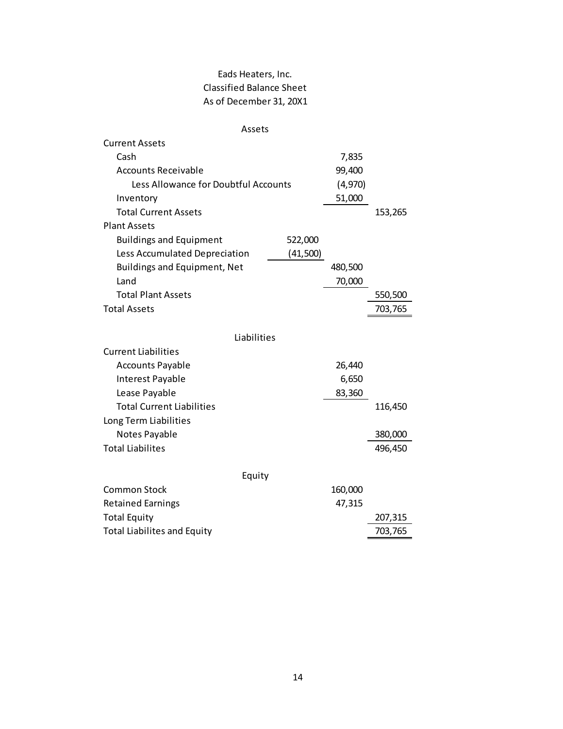## Eads Heaters, Inc. Classified Balance Sheet As of December 31, 20X1

| Assets                                    |         |         |
|-------------------------------------------|---------|---------|
| <b>Current Assets</b>                     |         |         |
| Cash                                      | 7,835   |         |
| <b>Accounts Receivable</b>                | 99,400  |         |
| Less Allowance for Doubtful Accounts      | (4,970) |         |
| Inventory                                 | 51,000  |         |
| <b>Total Current Assets</b>               |         | 153,265 |
| <b>Plant Assets</b>                       |         |         |
| 522,000<br><b>Buildings and Equipment</b> |         |         |
| (41,500)<br>Less Accumulated Depreciation |         |         |
| <b>Buildings and Equipment, Net</b>       | 480,500 |         |
| Land                                      | 70,000  |         |
| <b>Total Plant Assets</b>                 |         | 550,500 |
| <b>Total Assets</b>                       |         | 703,765 |
|                                           |         |         |
| Liabilities                               |         |         |
| <b>Current Liabilities</b>                |         |         |
| <b>Accounts Payable</b>                   | 26,440  |         |
| Interest Payable                          | 6,650   |         |
| Lease Payable                             | 83,360  |         |
| <b>Total Current Liabilities</b>          |         | 116,450 |
| Long Term Liabilities                     |         |         |
| Notes Payable                             |         | 380,000 |
| <b>Total Liabilites</b>                   |         | 496,450 |
| Equity                                    |         |         |
| <b>Common Stock</b>                       | 160,000 |         |
| <b>Retained Earnings</b>                  | 47,315  |         |
| <b>Total Equity</b>                       |         | 207,315 |
| <b>Total Liabilites and Equity</b>        |         | 703,765 |
|                                           |         |         |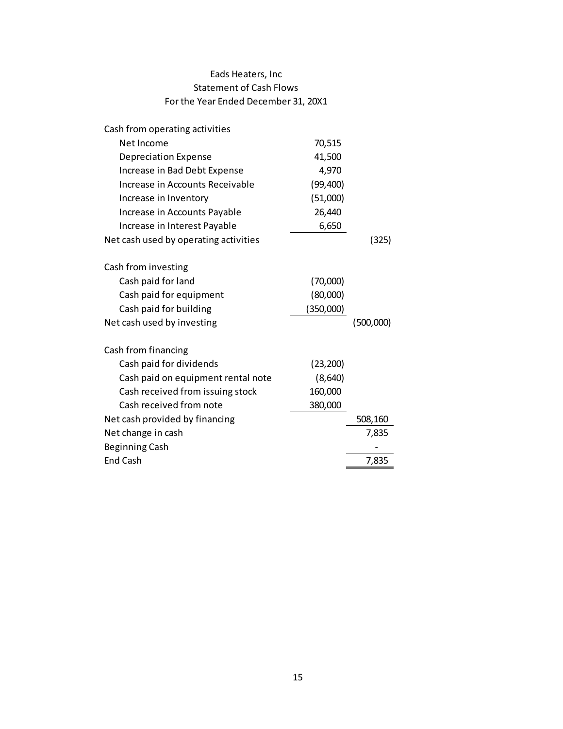### Eads Heaters, Inc Statement of Cash Flows For the Year Ended December 31, 20X1

| Cash from operating activities        |           |           |
|---------------------------------------|-----------|-----------|
| Net Income                            | 70,515    |           |
| <b>Depreciation Expense</b>           | 41,500    |           |
| Increase in Bad Debt Expense          | 4,970     |           |
| Increase in Accounts Receivable       | (99, 400) |           |
| Increase in Inventory                 | (51,000)  |           |
| Increase in Accounts Payable          | 26,440    |           |
| Increase in Interest Payable          | 6,650     |           |
| Net cash used by operating activities |           | (325)     |
| Cash from investing                   |           |           |
| Cash paid for land                    | (70,000)  |           |
| Cash paid for equipment               | (80,000)  |           |
| Cash paid for building                | (350,000) |           |
| Net cash used by investing            |           | (500,000) |
| Cash from financing                   |           |           |
| Cash paid for dividends               | (23, 200) |           |
| Cash paid on equipment rental note    | (8,640)   |           |
| Cash received from issuing stock      | 160,000   |           |
| Cash received from note               | 380,000   |           |
| Net cash provided by financing        |           | 508,160   |
| Net change in cash                    |           | 7,835     |
| <b>Beginning Cash</b>                 |           |           |
| <b>End Cash</b>                       |           | 7,835     |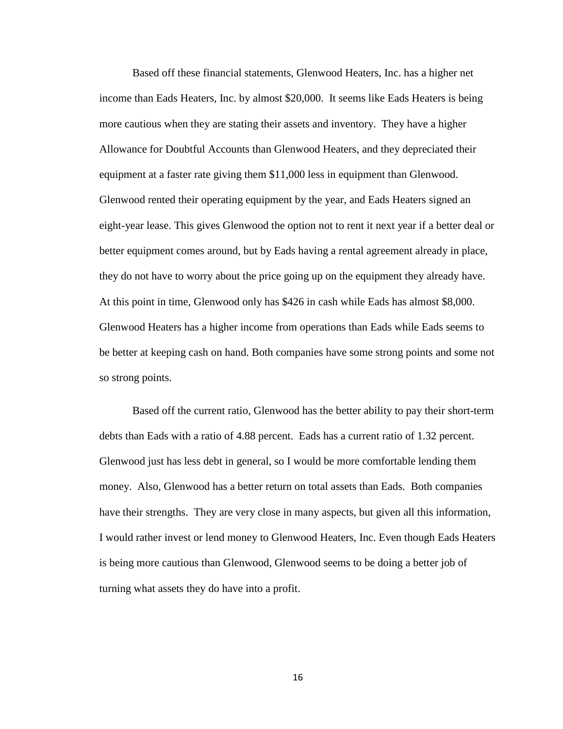Based off these financial statements, Glenwood Heaters, Inc. has a higher net income than Eads Heaters, Inc. by almost \$20,000. It seems like Eads Heaters is being more cautious when they are stating their assets and inventory. They have a higher Allowance for Doubtful Accounts than Glenwood Heaters, and they depreciated their equipment at a faster rate giving them \$11,000 less in equipment than Glenwood. Glenwood rented their operating equipment by the year, and Eads Heaters signed an eight-year lease. This gives Glenwood the option not to rent it next year if a better deal or better equipment comes around, but by Eads having a rental agreement already in place, they do not have to worry about the price going up on the equipment they already have. At this point in time, Glenwood only has \$426 in cash while Eads has almost \$8,000. Glenwood Heaters has a higher income from operations than Eads while Eads seems to be better at keeping cash on hand. Both companies have some strong points and some not so strong points.

Based off the current ratio, Glenwood has the better ability to pay their short-term debts than Eads with a ratio of 4.88 percent. Eads has a current ratio of 1.32 percent. Glenwood just has less debt in general, so I would be more comfortable lending them money. Also, Glenwood has a better return on total assets than Eads. Both companies have their strengths. They are very close in many aspects, but given all this information, I would rather invest or lend money to Glenwood Heaters, Inc. Even though Eads Heaters is being more cautious than Glenwood, Glenwood seems to be doing a better job of turning what assets they do have into a profit.

16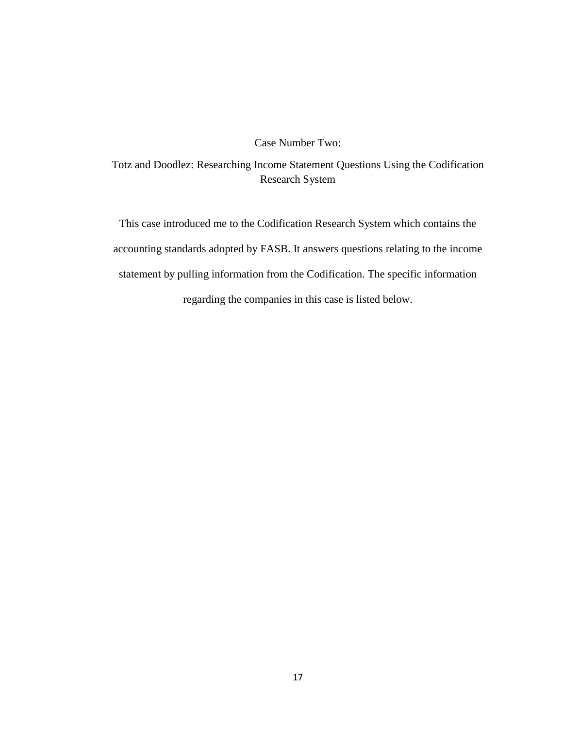### Case Number Two:

Totz and Doodlez: Researching Income Statement Questions Using the Codification Research System

This case introduced me to the Codification Research System which contains the accounting standards adopted by FASB. It answers questions relating to the income statement by pulling information from the Codification. The specific information regarding the companies in this case is listed below.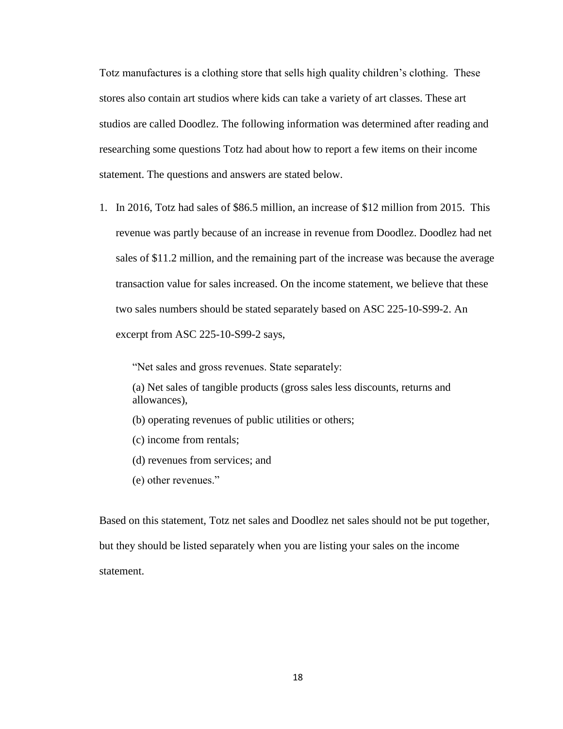Totz manufactures is a clothing store that sells high quality children's clothing. These stores also contain art studios where kids can take a variety of art classes. These art studios are called Doodlez. The following information was determined after reading and researching some questions Totz had about how to report a few items on their income statement. The questions and answers are stated below.

1. In 2016, Totz had sales of \$86.5 million, an increase of \$12 million from 2015. This revenue was partly because of an increase in revenue from Doodlez. Doodlez had net sales of \$11.2 million, and the remaining part of the increase was because the average transaction value for sales increased. On the income statement, we believe that these two sales numbers should be stated separately based on ASC 225-10-S99-2. An excerpt from ASC 225-10-S99-2 says,

"Net sales and gross revenues. State separately:

(a) Net sales of tangible products (gross sales less discounts, returns and allowances),

- (b) operating revenues of public utilities or others;
- (c) income from rentals;
- (d) revenues from services; and
- (e) other revenues."

Based on this statement, Totz net sales and Doodlez net sales should not be put together, but they should be listed separately when you are listing your sales on the income statement.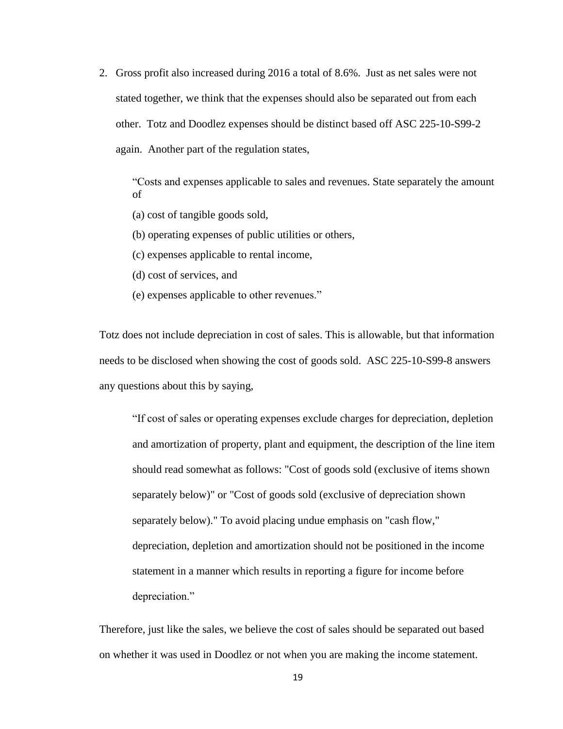2. Gross profit also increased during 2016 a total of 8.6%. Just as net sales were not stated together, we think that the expenses should also be separated out from each other. Totz and Doodlez expenses should be distinct based off ASC 225-10-S99-2 again. Another part of the regulation states,

"Costs and expenses applicable to sales and revenues. State separately the amount of

(a) cost of tangible goods sold,

(b) operating expenses of public utilities or others,

(c) expenses applicable to rental income,

(d) cost of services, and

(e) expenses applicable to other revenues."

Totz does not include depreciation in cost of sales. This is allowable, but that information needs to be disclosed when showing the cost of goods sold. ASC 225-10-S99-8 answers any questions about this by saying,

"If cost of sales or operating expenses exclude charges for depreciation, depletion and amortization of property, plant and equipment, the description of the line item should read somewhat as follows: "Cost of goods sold (exclusive of items shown separately below)" or "Cost of goods sold (exclusive of depreciation shown separately below)." To avoid placing undue emphasis on "cash flow," depreciation, depletion and amortization should not be positioned in the income statement in a manner which results in reporting a figure for income before depreciation."

Therefore, just like the sales, we believe the cost of sales should be separated out based on whether it was used in Doodlez or not when you are making the income statement.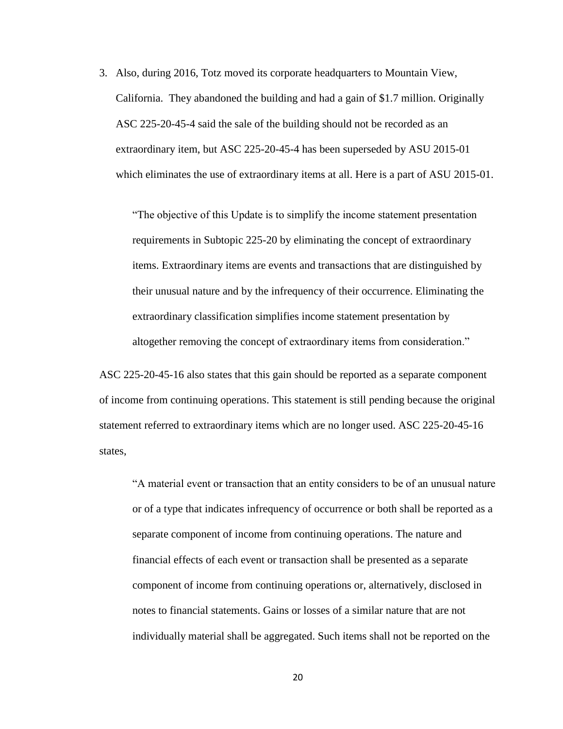3. Also, during 2016, Totz moved its corporate headquarters to Mountain View, California. They abandoned the building and had a gain of \$1.7 million. Originally ASC 225-20-45-4 said the sale of the building should not be recorded as an extraordinary item, but ASC 225-20-45-4 has been superseded by ASU 2015-01 which eliminates the use of extraordinary items at all. Here is a part of ASU 2015-01.

"The objective of this Update is to simplify the income statement presentation requirements in Subtopic 225-20 by eliminating the concept of extraordinary items. Extraordinary items are events and transactions that are distinguished by their unusual nature and by the infrequency of their occurrence. Eliminating the extraordinary classification simplifies income statement presentation by altogether removing the concept of extraordinary items from consideration."

ASC 225-20-45-16 also states that this gain should be reported as a separate component of income from continuing operations. This statement is still pending because the original statement referred to extraordinary items which are no longer used. ASC 225-20-45-16 states,

"A material event or transaction that an entity considers to be of an unusual nature or of a type that indicates infrequency of occurrence or both shall be reported as a separate component of income from continuing operations. The nature and financial effects of each event or transaction shall be presented as a separate component of income from continuing operations or, alternatively, disclosed in notes to financial statements. Gains or losses of a similar nature that are not individually material shall be aggregated. Such items shall not be reported on the

20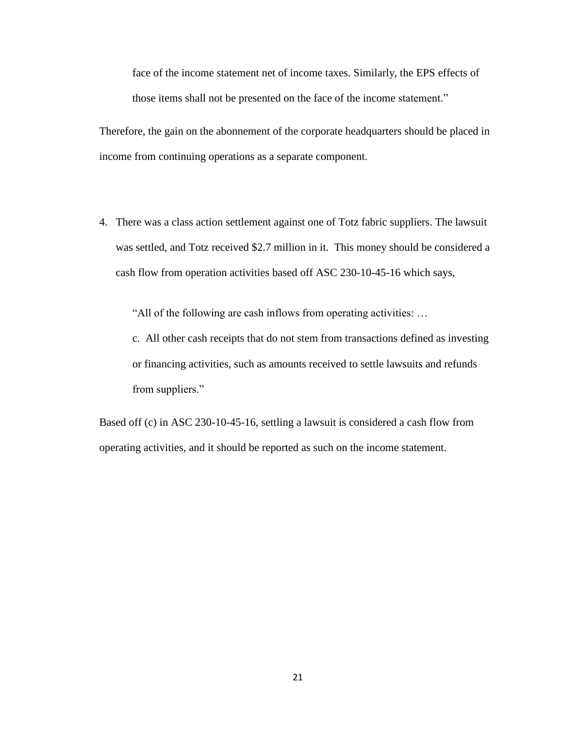face of the income statement net of income taxes. Similarly, the EPS effects of those items shall not be presented on the face of the income statement."

Therefore, the gain on the abonnement of the corporate headquarters should be placed in income from continuing operations as a separate component.

4. There was a class action settlement against one of Totz fabric suppliers. The lawsuit was settled, and Totz received \$2.7 million in it. This money should be considered a cash flow from operation activities based off ASC 230-10-45-16 which says,

"All of the following are cash inflows from operating activities: …

c. All other cash receipts that do not stem from transactions defined as investing or financing activities, such as amounts received to settle lawsuits and refunds from suppliers."

Based off (c) in ASC 230-10-45-16, settling a lawsuit is considered a cash flow from operating activities, and it should be reported as such on the income statement.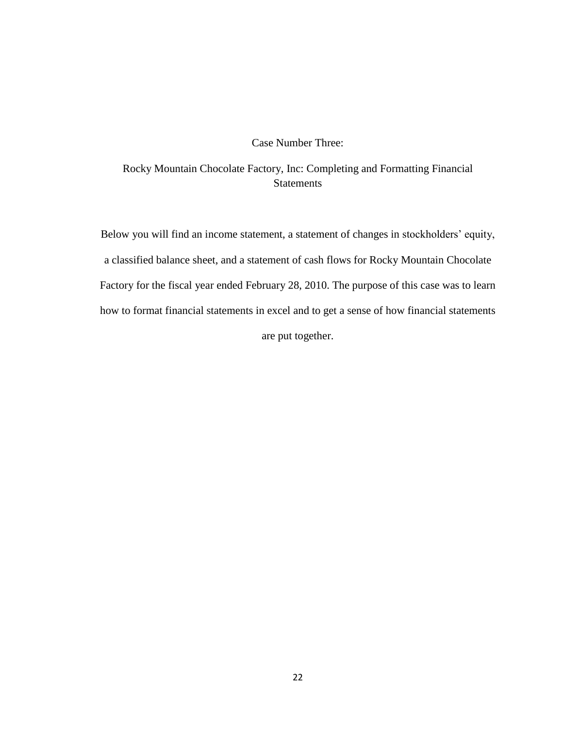#### Case Number Three:

Rocky Mountain Chocolate Factory, Inc: Completing and Formatting Financial **Statements** 

Below you will find an income statement, a statement of changes in stockholders' equity, a classified balance sheet, and a statement of cash flows for Rocky Mountain Chocolate Factory for the fiscal year ended February 28, 2010. The purpose of this case was to learn how to format financial statements in excel and to get a sense of how financial statements are put together.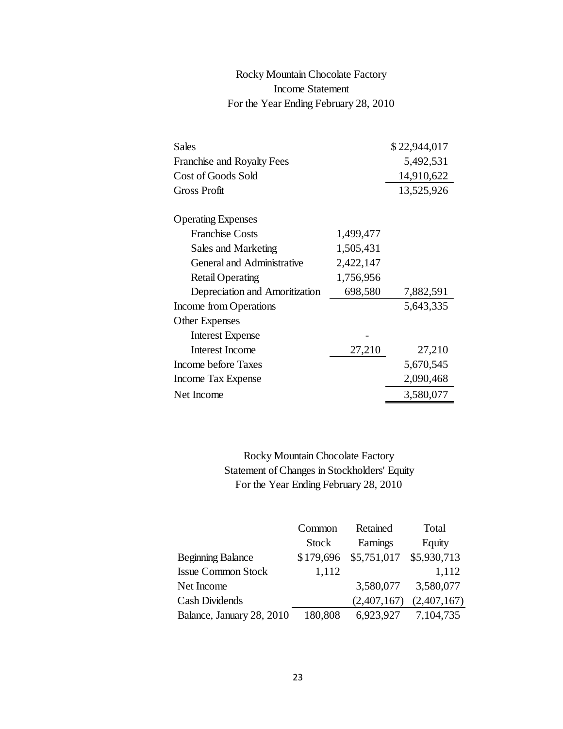# Rocky Mountain Chocolate Factory Income Statement For the Year Ending February 28, 2010

| <b>Sales</b>                                                                     |              |             | \$22,944,017 |
|----------------------------------------------------------------------------------|--------------|-------------|--------------|
| Franchise and Royalty Fees                                                       |              |             | 5,492,531    |
| Cost of Goods Sold                                                               |              |             | 14,910,622   |
| <b>Gross Profit</b>                                                              |              |             | 13,525,926   |
| <b>Operating Expenses</b>                                                        |              |             |              |
| <b>Franchise Costs</b>                                                           |              | 1,499,477   |              |
| Sales and Marketing                                                              |              | 1,505,431   |              |
| <b>General and Administrative</b>                                                |              | 2,422,147   |              |
| <b>Retail Operating</b>                                                          |              | 1,756,956   |              |
| Depreciation and Amoritization                                                   |              | 698,580     | 7,882,591    |
| Income from Operations                                                           |              |             | 5,643,335    |
| <b>Other Expenses</b>                                                            |              |             |              |
| <b>Interest Expense</b>                                                          |              |             |              |
| <b>Interest Income</b>                                                           |              | 27,210      | 27,210       |
| Income before Taxes                                                              |              |             | 5,670,545    |
| Income Tax Expense                                                               |              |             | 2,090,468    |
| Net Income                                                                       |              |             | 3,580,077    |
| Rocky Mountain Chocolate Factory<br>Statement of Changes in Stockholders' Equity |              |             |              |
| For the Year Ending February 28, 2010                                            |              |             |              |
|                                                                                  | Common       | Retained    | Total        |
|                                                                                  | <b>Stock</b> | Earnings    | Equity       |
| <b>Beginning Balance</b>                                                         | \$179,696    | \$5,751,017 | \$5,930,71   |
| <b>Issue Common Stock</b>                                                        | 1,112        |             | 1,11         |
| Net Income                                                                       |              | 3,580,077   | 3,580,07     |
| <b>Cash Dividends</b>                                                            |              | (2,407,167) | (2,407,16)   |
| Balance, January 28, 2010                                                        | 180,808      | 6,923,927   | 7,104,73     |
|                                                                                  |              |             |              |
|                                                                                  |              |             |              |
|                                                                                  | 23           |             |              |

|                           | Common       | Retained    | Total       |
|---------------------------|--------------|-------------|-------------|
|                           | <b>Stock</b> | Earnings    | Equity      |
| <b>Beginning Balance</b>  | \$179,696    | \$5,751,017 | \$5,930,713 |
| <b>Issue Common Stock</b> | 1,112        |             | 1,112       |
| Net Income                |              | 3,580,077   | 3,580,077   |
| <b>Cash Dividends</b>     |              | (2,407,167) | (2,407,167) |
| Balance, January 28, 2010 | 180,808      | 6,923,927   | 7,104,735   |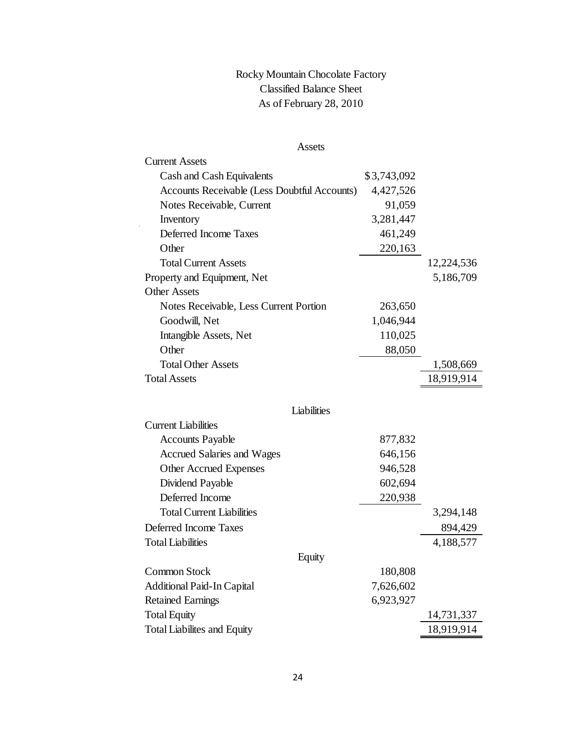# Rocky Mountain Chocolate Factory Classified Balance Sheet As of February 28, 2010

| <b>Assets</b>                                       |             |            |
|-----------------------------------------------------|-------------|------------|
| <b>Current Assets</b>                               |             |            |
| Cash and Cash Equivalents                           | \$3,743,092 |            |
| <b>Accounts Receivable (Less Doubtful Accounts)</b> | 4,427,526   |            |
| Notes Receivable, Current                           | 91,059      |            |
| Inventory                                           | 3,281,447   |            |
| Deferred Income Taxes                               | 461,249     |            |
| Other                                               | 220,163     |            |
| <b>Total Current Assets</b>                         |             | 12,224,536 |
| Property and Equipment, Net                         |             | 5,186,709  |
| <b>Other Assets</b>                                 |             |            |
| Notes Receivable, Less Current Portion              | 263,650     |            |
| Goodwill, Net                                       | 1,046,944   |            |
| Intangible Assets, Net                              | 110,025     |            |
| Other                                               | 88,050      |            |
| <b>Total Other Assets</b>                           |             | 1,508,669  |
| <b>Total Assets</b>                                 |             | 18,919,914 |
| Liabilities                                         |             |            |
| <b>Current Liabilities</b>                          |             |            |
| <b>Accounts Payable</b>                             | 877,832     |            |
| Accrued Salaries and Wages                          | 646,156     |            |
| Other Accrued Expenses                              | 946,528     |            |
| Dividend Payable                                    | 602,694     |            |
| Deferred Income                                     | 220,938     |            |
| <b>Total Current Liabilities</b>                    |             | 3,294,148  |
| Deferred Income Taxes                               |             | 894,429    |
| <b>Total Liabilities</b>                            |             | 4,188,577  |
| Equity                                              |             |            |
| <b>Common Stock</b>                                 | 180,808     |            |
| <b>Additional Paid-In Capital</b>                   | 7,626,602   |            |

| Thursday The Theory Capture         | $1.19 - 0.100 - 0.00$ |            |
|-------------------------------------|-----------------------|------------|
| <b>Retained Earnings</b>            | 6,923,927             |            |
| <b>Total Equity</b>                 |                       | 14,731,337 |
| <b>Total Liabilities and Equity</b> |                       | 18,919,914 |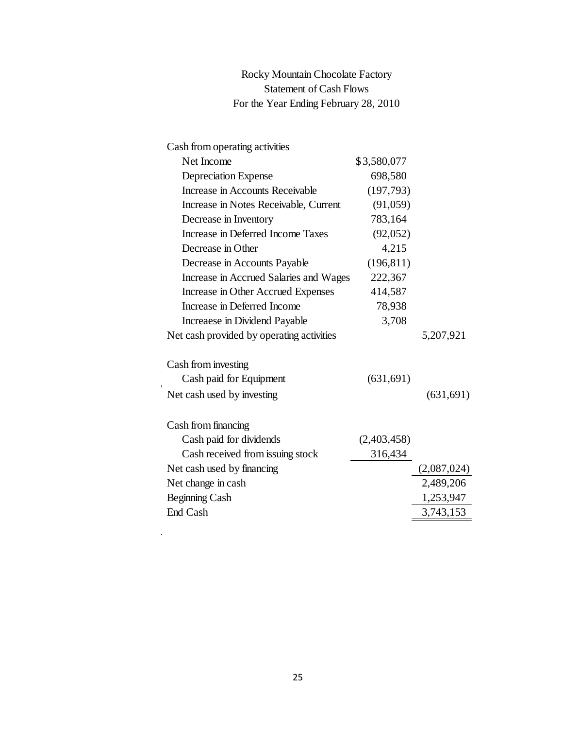| Rocky Mountain Chocolate Factory      |
|---------------------------------------|
| <b>Statement of Cash Flows</b>        |
| For the Year Ending February 28, 2010 |

| Cash from operating activities            |             |             |
|-------------------------------------------|-------------|-------------|
| Net Income                                | \$3,580,077 |             |
| <b>Depreciation Expense</b>               | 698,580     |             |
| Increase in Accounts Receivable           | (197, 793)  |             |
| Increase in Notes Receivable, Current     | (91,059)    |             |
| Decrease in Inventory                     | 783,164     |             |
| Increase in Deferred Income Taxes         | (92,052)    |             |
| Decrease in Other                         | 4,215       |             |
| Decrease in Accounts Payable              | (196, 811)  |             |
| Increase in Accrued Salaries and Wages    | 222,367     |             |
| Increase in Other Accrued Expenses        | 414,587     |             |
| Increase in Deferred Income               | 78,938      |             |
| Increaese in Dividend Payable             | 3,708       |             |
| Net cash provided by operating activities |             | 5,207,921   |
| Cash from investing                       |             |             |
| Cash paid for Equipment                   | (631, 691)  |             |
| Net cash used by investing                |             | (631, 691)  |
| Cash from financing                       |             |             |
| Cash paid for dividends                   | (2,403,458) |             |
| Cash received from issuing stock          | 316,434     |             |
| Net cash used by financing                |             | (2,087,024) |
| Net change in cash                        |             | 2,489,206   |
| Beginning Cash                            |             | 1,253,947   |
| End Cash                                  |             | 3,743,153   |
|                                           |             |             |
|                                           |             |             |
|                                           |             |             |
|                                           |             |             |
|                                           |             |             |
|                                           |             |             |
|                                           |             |             |
|                                           |             |             |
|                                           |             |             |
|                                           |             |             |
|                                           |             |             |
| 25                                        |             |             |

 $\sim$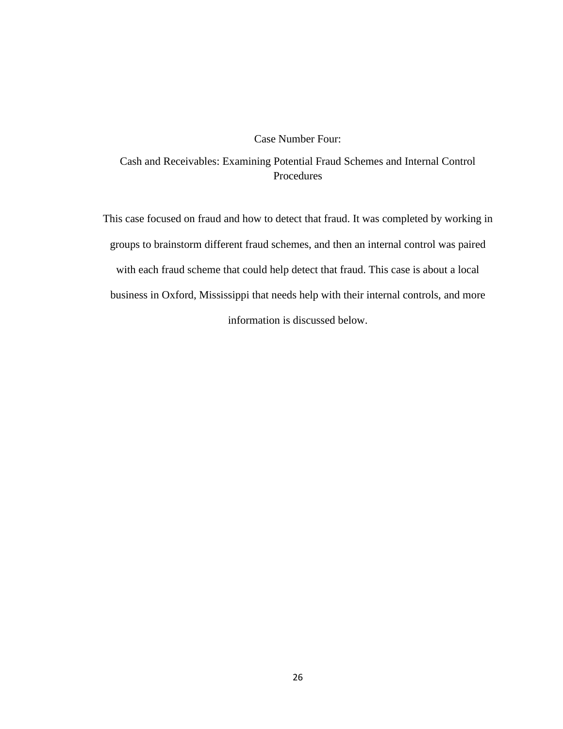#### Case Number Four:

Cash and Receivables: Examining Potential Fraud Schemes and Internal Control Procedures

This case focused on fraud and how to detect that fraud. It was completed by working in groups to brainstorm different fraud schemes, and then an internal control was paired with each fraud scheme that could help detect that fraud. This case is about a local business in Oxford, Mississippi that needs help with their internal controls, and more information is discussed below.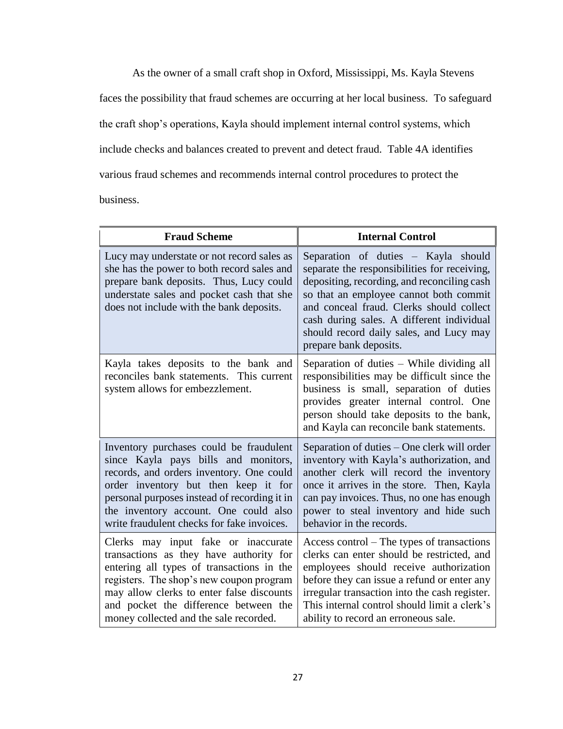As the owner of a small craft shop in Oxford, Mississippi, Ms. Kayla Stevens faces the possibility that fraud schemes are occurring at her local business. To safeguard the craft shop's operations, Kayla should implement internal control systems, which include checks and balances created to prevent and detect fraud. Table 4A identifies various fraud schemes and recommends internal control procedures to protect the business.

| <b>Fraud Scheme</b>                                                                                                                                                                                                                                                                                        | <b>Internal Control</b>                                                                                                                                                                                                                                                                                                                    |  |
|------------------------------------------------------------------------------------------------------------------------------------------------------------------------------------------------------------------------------------------------------------------------------------------------------------|--------------------------------------------------------------------------------------------------------------------------------------------------------------------------------------------------------------------------------------------------------------------------------------------------------------------------------------------|--|
| Lucy may understate or not record sales as<br>she has the power to both record sales and<br>prepare bank deposits. Thus, Lucy could<br>understate sales and pocket cash that she<br>does not include with the bank deposits.                                                                               | Separation of duties - Kayla should<br>separate the responsibilities for receiving,<br>depositing, recording, and reconciling cash<br>so that an employee cannot both commit<br>and conceal fraud. Clerks should collect<br>cash during sales. A different individual<br>should record daily sales, and Lucy may<br>prepare bank deposits. |  |
| Kayla takes deposits to the bank and<br>reconciles bank statements. This current<br>system allows for embezzlement.                                                                                                                                                                                        | Separation of duties - While dividing all<br>responsibilities may be difficult since the<br>business is small, separation of duties<br>provides greater internal control. One<br>person should take deposits to the bank,<br>and Kayla can reconcile bank statements.                                                                      |  |
| Inventory purchases could be fraudulent<br>since Kayla pays bills and monitors,<br>records, and orders inventory. One could<br>order inventory but then keep it for<br>personal purposes instead of recording it in<br>the inventory account. One could also<br>write fraudulent checks for fake invoices. | Separation of duties – One clerk will order<br>inventory with Kayla's authorization, and<br>another clerk will record the inventory<br>once it arrives in the store. Then, Kayla<br>can pay invoices. Thus, no one has enough<br>power to steal inventory and hide such<br>behavior in the records.                                        |  |
| Clerks may input fake or inaccurate<br>transactions as they have authority for<br>entering all types of transactions in the<br>registers. The shop's new coupon program<br>may allow clerks to enter false discounts<br>and pocket the difference between the<br>money collected and the sale recorded.    | Access control $-$ The types of transactions<br>clerks can enter should be restricted, and<br>employees should receive authorization<br>before they can issue a refund or enter any<br>irregular transaction into the cash register.<br>This internal control should limit a clerk's<br>ability to record an erroneous sale.               |  |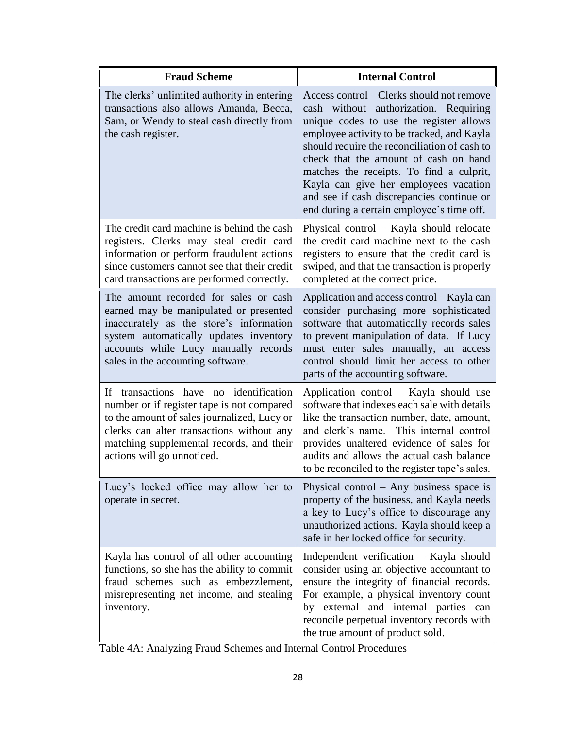| <b>Fraud Scheme</b>                                                                                                                                                                                                                                                  | <b>Internal Control</b>                                                                                                                                                                                                                                                                                                                                                                                                                             |  |
|----------------------------------------------------------------------------------------------------------------------------------------------------------------------------------------------------------------------------------------------------------------------|-----------------------------------------------------------------------------------------------------------------------------------------------------------------------------------------------------------------------------------------------------------------------------------------------------------------------------------------------------------------------------------------------------------------------------------------------------|--|
| The clerks' unlimited authority in entering<br>transactions also allows Amanda, Becca,<br>Sam, or Wendy to steal cash directly from<br>the cash register.                                                                                                            | Access control - Clerks should not remove<br>cash without authorization. Requiring<br>unique codes to use the register allows<br>employee activity to be tracked, and Kayla<br>should require the reconciliation of cash to<br>check that the amount of cash on hand<br>matches the receipts. To find a culprit,<br>Kayla can give her employees vacation<br>and see if cash discrepancies continue or<br>end during a certain employee's time off. |  |
| The credit card machine is behind the cash<br>registers. Clerks may steal credit card<br>information or perform fraudulent actions<br>since customers cannot see that their credit<br>card transactions are performed correctly.                                     | Physical control – Kayla should relocate<br>the credit card machine next to the cash<br>registers to ensure that the credit card is<br>swiped, and that the transaction is properly<br>completed at the correct price.                                                                                                                                                                                                                              |  |
| The amount recorded for sales or cash<br>earned may be manipulated or presented<br>inaccurately as the store's information<br>system automatically updates inventory<br>accounts while Lucy manually records<br>sales in the accounting software.                    | Application and access control – Kayla can<br>consider purchasing more sophisticated<br>software that automatically records sales<br>to prevent manipulation of data. If Lucy<br>must enter sales manually, an access<br>control should limit her access to other<br>parts of the accounting software.                                                                                                                                              |  |
| transactions have no identification<br><b>If</b><br>number or if register tape is not compared<br>to the amount of sales journalized, Lucy or<br>clerks can alter transactions without any<br>matching supplemental records, and their<br>actions will go unnoticed. | Application control – Kayla should use<br>software that indexes each sale with details<br>like the transaction number, date, amount,<br>This internal control<br>and clerk's name.<br>provides unaltered evidence of sales for<br>audits and allows the actual cash balance<br>to be reconciled to the register tape's sales.                                                                                                                       |  |
| Lucy's locked office may allow her to<br>operate in secret.                                                                                                                                                                                                          | Physical control $-$ Any business space is<br>property of the business, and Kayla needs<br>a key to Lucy's office to discourage any<br>unauthorized actions. Kayla should keep a<br>safe in her locked office for security.                                                                                                                                                                                                                         |  |
| Kayla has control of all other accounting<br>functions, so she has the ability to commit<br>fraud schemes such as embezzlement,<br>misrepresenting net income, and stealing<br>inventory.                                                                            | Independent verification - Kayla should<br>consider using an objective accountant to<br>ensure the integrity of financial records.<br>For example, a physical inventory count<br>by external and internal parties can<br>reconcile perpetual inventory records with<br>the true amount of product sold.                                                                                                                                             |  |

Table 4A: Analyzing Fraud Schemes and Internal Control Procedures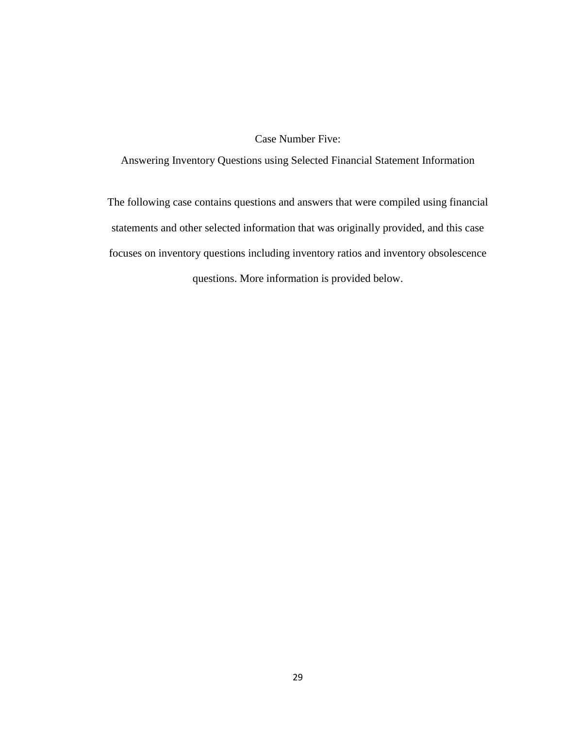### Case Number Five:

Answering Inventory Questions using Selected Financial Statement Information

The following case contains questions and answers that were compiled using financial statements and other selected information that was originally provided, and this case focuses on inventory questions including inventory ratios and inventory obsolescence questions. More information is provided below.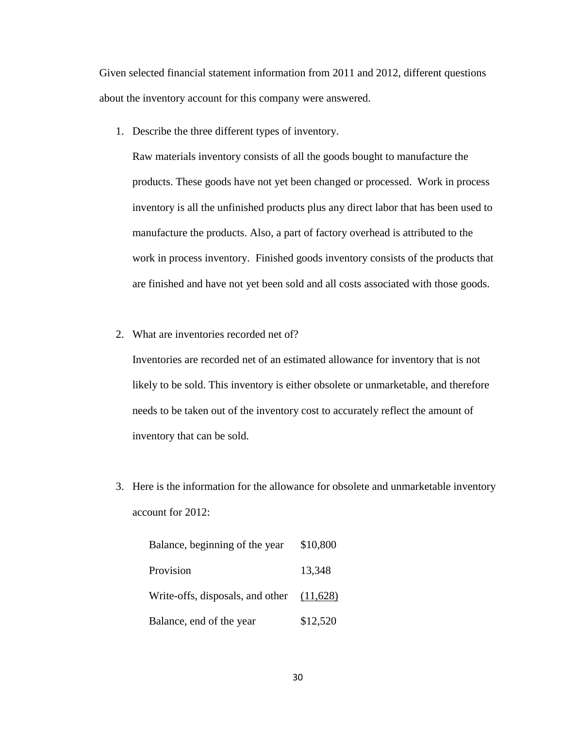Given selected financial statement information from 2011 and 2012, different questions about the inventory account for this company were answered.

1. Describe the three different types of inventory.

Raw materials inventory consists of all the goods bought to manufacture the products. These goods have not yet been changed or processed. Work in process inventory is all the unfinished products plus any direct labor that has been used to manufacture the products. Also, a part of factory overhead is attributed to the work in process inventory. Finished goods inventory consists of the products that are finished and have not yet been sold and all costs associated with those goods.

2. What are inventories recorded net of?

Inventories are recorded net of an estimated allowance for inventory that is not likely to be sold. This inventory is either obsolete or unmarketable, and therefore needs to be taken out of the inventory cost to accurately reflect the amount of inventory that can be sold.

3. Here is the information for the allowance for obsolete and unmarketable inventory account for 2012:

| Balance, beginning of the year              | \$10,800 |
|---------------------------------------------|----------|
| Provision                                   | 13,348   |
| Write-offs, disposals, and other $(11,628)$ |          |
| Balance, end of the year                    | \$12,520 |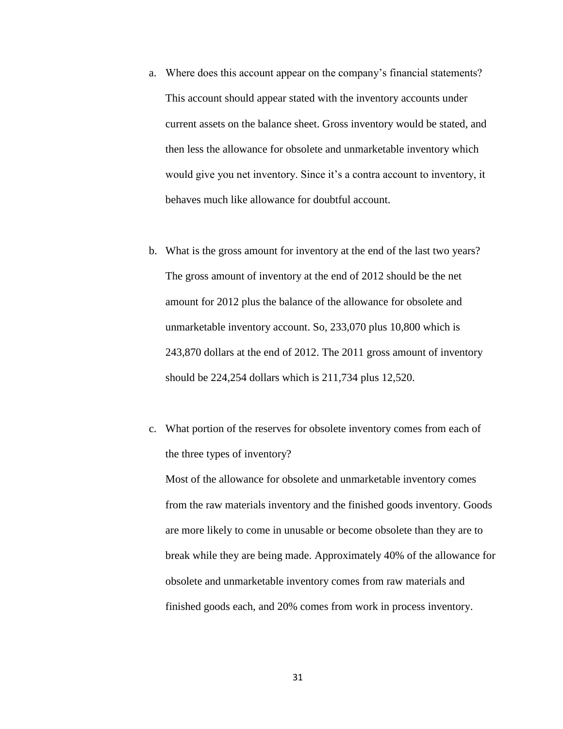- a. Where does this account appear on the company's financial statements? This account should appear stated with the inventory accounts under current assets on the balance sheet. Gross inventory would be stated, and then less the allowance for obsolete and unmarketable inventory which would give you net inventory. Since it's a contra account to inventory, it behaves much like allowance for doubtful account.
- b. What is the gross amount for inventory at the end of the last two years? The gross amount of inventory at the end of 2012 should be the net amount for 2012 plus the balance of the allowance for obsolete and unmarketable inventory account. So, 233,070 plus 10,800 which is 243,870 dollars at the end of 2012. The 2011 gross amount of inventory should be 224,254 dollars which is 211,734 plus 12,520.
- c. What portion of the reserves for obsolete inventory comes from each of the three types of inventory?

Most of the allowance for obsolete and unmarketable inventory comes from the raw materials inventory and the finished goods inventory. Goods are more likely to come in unusable or become obsolete than they are to break while they are being made. Approximately 40% of the allowance for obsolete and unmarketable inventory comes from raw materials and finished goods each, and 20% comes from work in process inventory.

31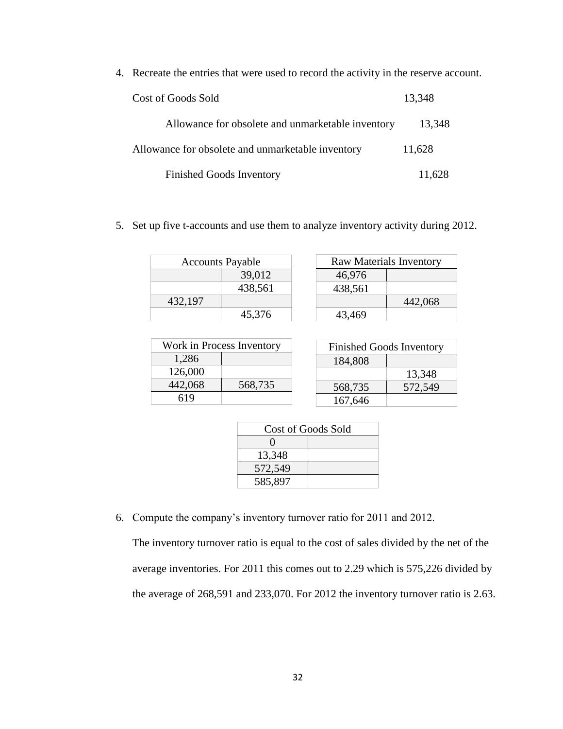4. Recreate the entries that were used to record the activity in the reserve account.

| Cost of Goods Sold                                | 13,348 |
|---------------------------------------------------|--------|
| Allowance for obsolete and unmarketable inventory | 13,348 |
| Allowance for obsolete and unmarketable inventory | 11,628 |
| <b>Finished Goods Inventory</b>                   | 11,628 |

5. Set up five t-accounts and use them to analyze inventory activity during 2012.

| <b>Accounts Payable</b> |         |  |
|-------------------------|---------|--|
|                         | 39,012  |  |
|                         | 438,561 |  |
| 432,197                 |         |  |
|                         | 45,376  |  |

| <b>Raw Materials Inventory</b> |         |
|--------------------------------|---------|
| 46,976                         |         |
| 438,561                        |         |
|                                | 442,068 |
| 43,469                         |         |

| Work in Process Inventory |         |
|---------------------------|---------|
| 1,286                     |         |
| 126,000                   |         |
| 442,068                   | 568,735 |
| 619                       |         |

| <b>Finished Goods Inventory</b> |         |  |
|---------------------------------|---------|--|
| 184,808                         |         |  |
|                                 | 13,348  |  |
| 568,735                         | 572,549 |  |
| 167,646                         |         |  |

| <b>Cost of Goods Sold</b> |  |
|---------------------------|--|
|                           |  |
| 13,348                    |  |
| 572,549                   |  |
| 585,897                   |  |

6. Compute the company's inventory turnover ratio for 2011 and 2012.

The inventory turnover ratio is equal to the cost of sales divided by the net of the average inventories. For 2011 this comes out to 2.29 which is 575,226 divided by the average of 268,591 and 233,070. For 2012 the inventory turnover ratio is 2.63.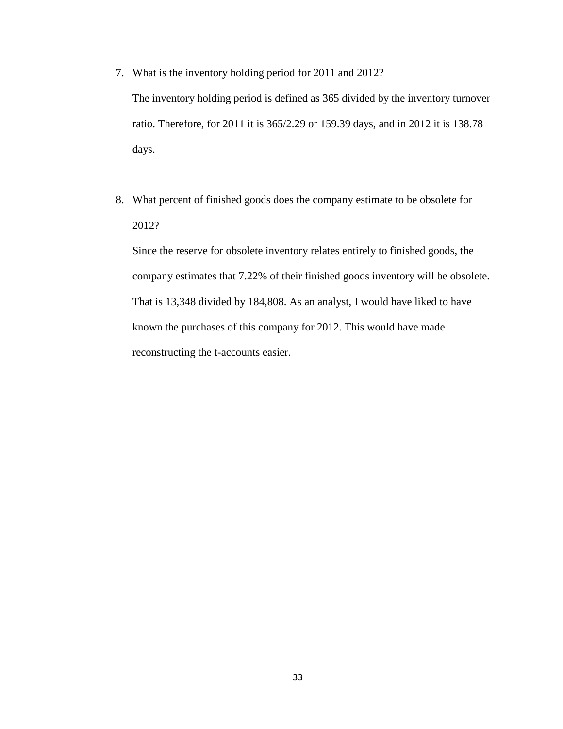7. What is the inventory holding period for 2011 and 2012?

The inventory holding period is defined as 365 divided by the inventory turnover ratio. Therefore, for 2011 it is 365/2.29 or 159.39 days, and in 2012 it is 138.78 days.

8. What percent of finished goods does the company estimate to be obsolete for 2012?

Since the reserve for obsolete inventory relates entirely to finished goods, the company estimates that 7.22% of their finished goods inventory will be obsolete. That is 13,348 divided by 184,808. As an analyst, I would have liked to have known the purchases of this company for 2012. This would have made reconstructing the t-accounts easier.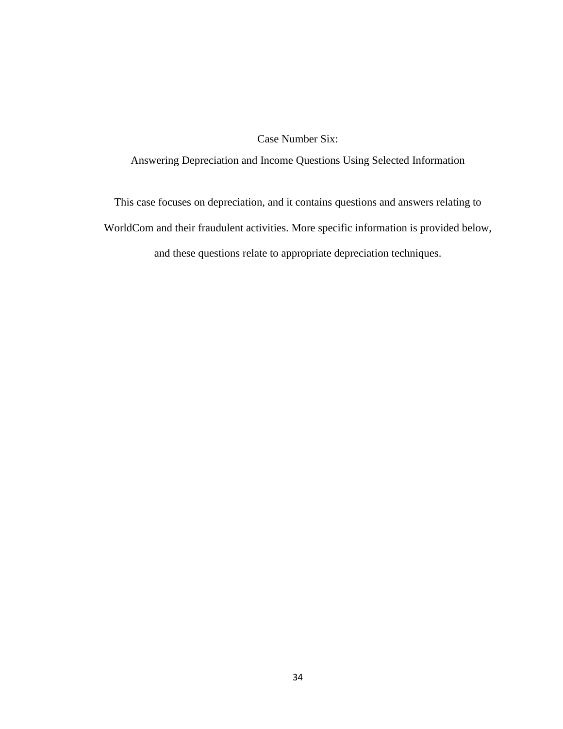Case Number Six:

Answering Depreciation and Income Questions Using Selected Information

This case focuses on depreciation, and it contains questions and answers relating to WorldCom and their fraudulent activities. More specific information is provided below, and these questions relate to appropriate depreciation techniques.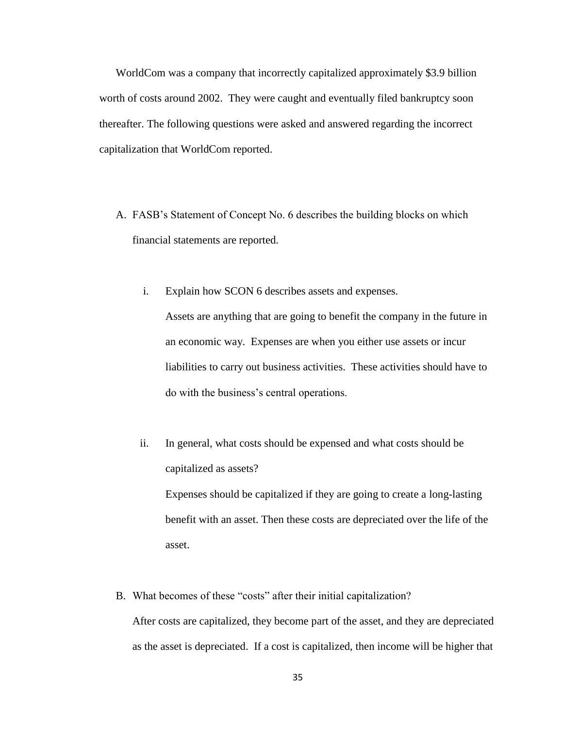WorldCom was a company that incorrectly capitalized approximately \$3.9 billion worth of costs around 2002. They were caught and eventually filed bankruptcy soon thereafter. The following questions were asked and answered regarding the incorrect capitalization that WorldCom reported.

- A. FASB's Statement of Concept No. 6 describes the building blocks on which financial statements are reported.
	- i. Explain how SCON 6 describes assets and expenses. Assets are anything that are going to benefit the company in the future in an economic way. Expenses are when you either use assets or incur liabilities to carry out business activities. These activities should have to do with the business's central operations.
	- ii. In general, what costs should be expensed and what costs should be capitalized as assets?

Expenses should be capitalized if they are going to create a long-lasting benefit with an asset. Then these costs are depreciated over the life of the asset.

B. What becomes of these "costs" after their initial capitalization?

After costs are capitalized, they become part of the asset, and they are depreciated as the asset is depreciated. If a cost is capitalized, then income will be higher that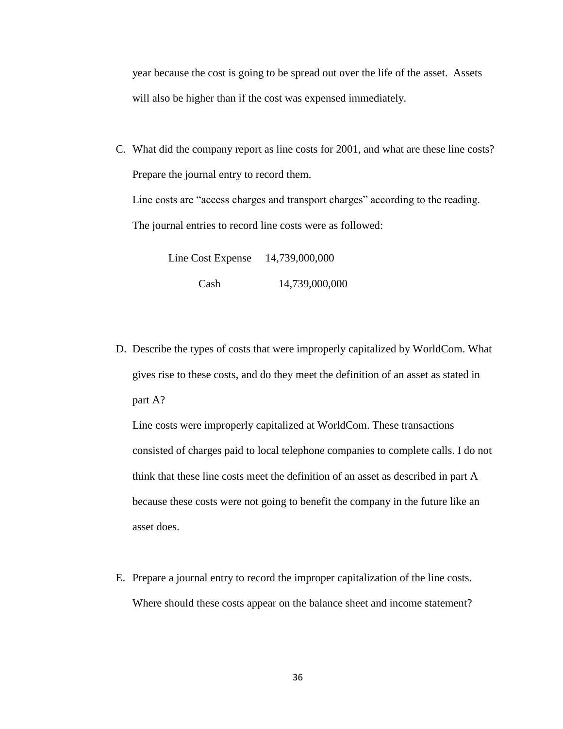year because the cost is going to be spread out over the life of the asset. Assets will also be higher than if the cost was expensed immediately.

C. What did the company report as line costs for 2001, and what are these line costs? Prepare the journal entry to record them.

Line costs are "access charges and transport charges" according to the reading. The journal entries to record line costs were as followed:

> Line Cost Expense 14,739,000,000 Cash 14,739,000,000

D. Describe the types of costs that were improperly capitalized by WorldCom. What gives rise to these costs, and do they meet the definition of an asset as stated in part A?

Line costs were improperly capitalized at WorldCom. These transactions consisted of charges paid to local telephone companies to complete calls. I do not think that these line costs meet the definition of an asset as described in part A because these costs were not going to benefit the company in the future like an asset does.

E. Prepare a journal entry to record the improper capitalization of the line costs. Where should these costs appear on the balance sheet and income statement?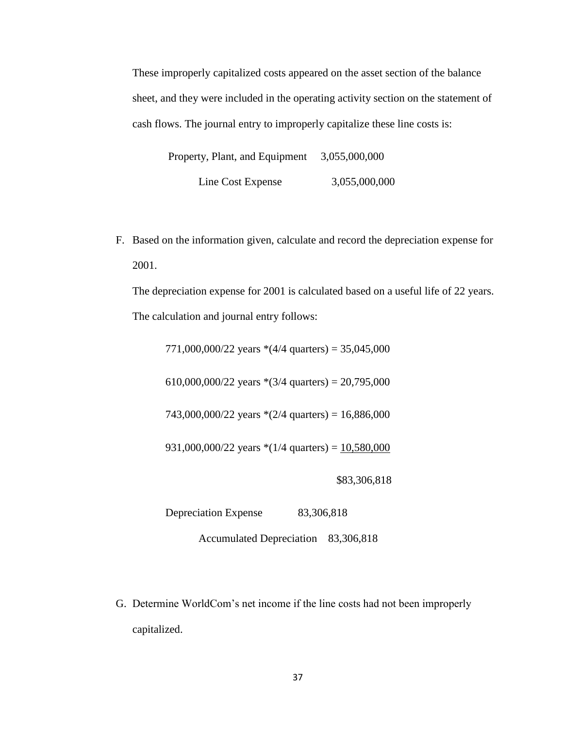These improperly capitalized costs appeared on the asset section of the balance sheet, and they were included in the operating activity section on the statement of cash flows. The journal entry to improperly capitalize these line costs is:

Property, Plant, and Equipment 3,055,000,000 Line Cost Expense 3,055,000,000

F. Based on the information given, calculate and record the depreciation expense for 2001.

The depreciation expense for 2001 is calculated based on a useful life of 22 years. The calculation and journal entry follows:

771,000,000/22 years  $*(4/4 \text{ quarters}) = 35,045,000$ 

610,000,000/22 years  $*(3/4 \text{ quarters}) = 20,795,000$ 

743,000,000/22 years  $*(2/4 \text{ quarters}) = 16,886,000$ 

931,000,000/22 years  $*(1/4 \text{ quarters}) = 10,580,000$ 

\$83,306,818

Depreciation Expense 83,306,818

Accumulated Depreciation 83,306,818

G. Determine WorldCom's net income if the line costs had not been improperly capitalized.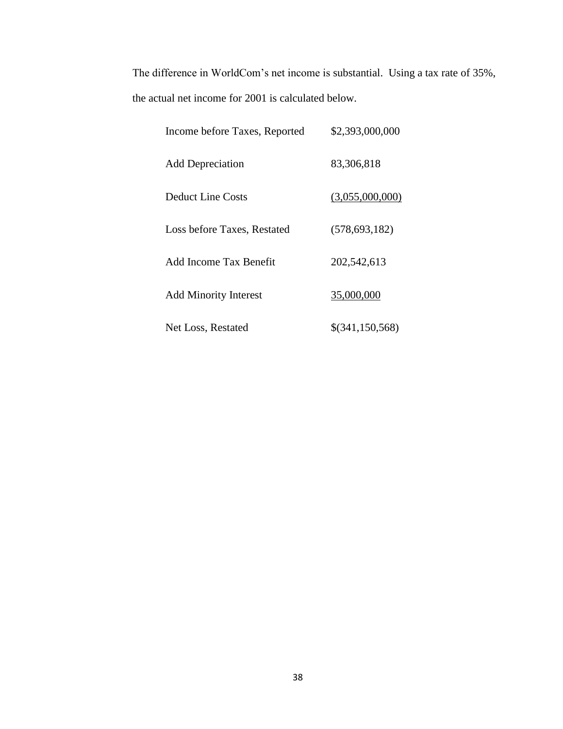The difference in WorldCom's net income is substantial. Using a tax rate of 35%, the actual net income for 2001 is calculated below.

| Income before Taxes, Reported | \$2,393,000,000 |
|-------------------------------|-----------------|
| <b>Add Depreciation</b>       | 83,306,818      |
| <b>Deduct Line Costs</b>      | (3,055,000,000) |
| Loss before Taxes, Restated   | (578, 693, 182) |
| Add Income Tax Benefit        | 202,542,613     |
| <b>Add Minority Interest</b>  | 35,000,000      |
| Net Loss, Restated            | \$(341,150,568) |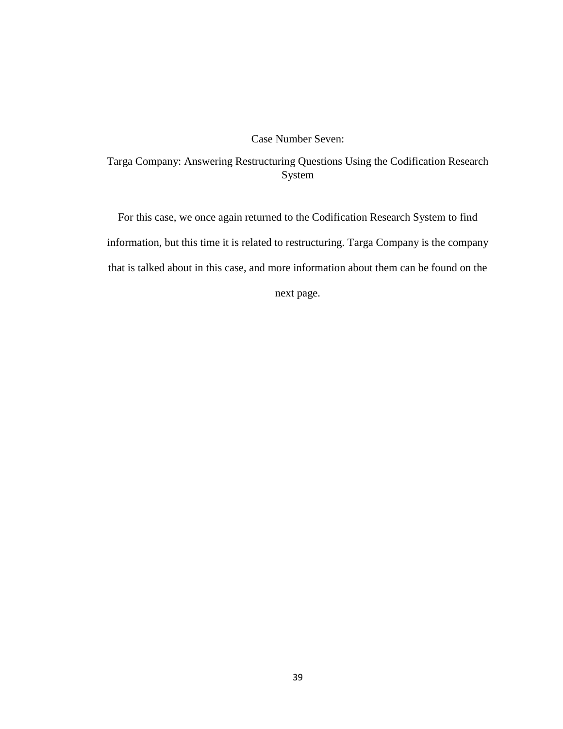#### Case Number Seven:

# Targa Company: Answering Restructuring Questions Using the Codification Research System

For this case, we once again returned to the Codification Research System to find information, but this time it is related to restructuring. Targa Company is the company that is talked about in this case, and more information about them can be found on the

next page.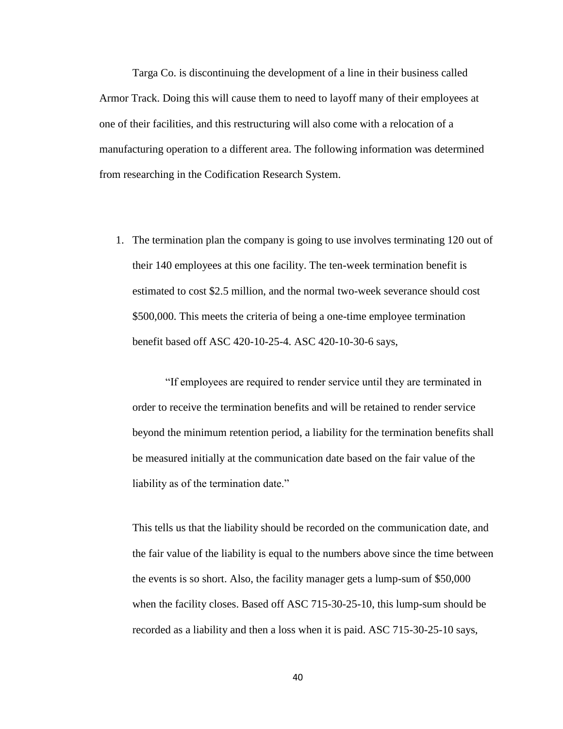Targa Co. is discontinuing the development of a line in their business called Armor Track. Doing this will cause them to need to layoff many of their employees at one of their facilities, and this restructuring will also come with a relocation of a manufacturing operation to a different area. The following information was determined from researching in the Codification Research System.

1. The termination plan the company is going to use involves terminating 120 out of their 140 employees at this one facility. The ten-week termination benefit is estimated to cost \$2.5 million, and the normal two-week severance should cost \$500,000. This meets the criteria of being a one-time employee termination benefit based off ASC 420-10-25-4. ASC 420-10-30-6 says,

"If employees are required to render service until they are terminated in order to receive the termination benefits and will be retained to render service beyond the minimum retention period, a liability for the termination benefits shall be measured initially at the communication date based on the fair value of the liability as of the termination date."

This tells us that the liability should be recorded on the communication date, and the fair value of the liability is equal to the numbers above since the time between the events is so short. Also, the facility manager gets a lump-sum of \$50,000 when the facility closes. Based off ASC 715-30-25-10, this lump-sum should be recorded as a liability and then a loss when it is paid. ASC 715-30-25-10 says,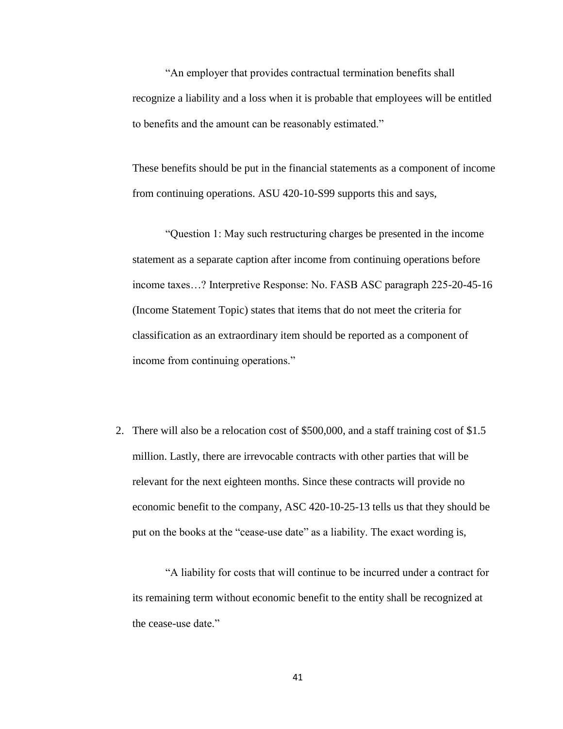"An employer that provides contractual termination benefits shall recognize a liability and a loss when it is probable that employees will be entitled to benefits and the amount can be reasonably estimated."

These benefits should be put in the financial statements as a component of income from continuing operations. ASU 420-10-S99 supports this and says,

"Question 1: May such restructuring charges be presented in the income statement as a separate caption after income from continuing operations before income taxes…? Interpretive Response: No. FASB ASC paragraph 225-20-45-16 (Income Statement Topic) states that items that do not meet the criteria for classification as an extraordinary item should be reported as a component of income from continuing operations."

2. There will also be a relocation cost of \$500,000, and a staff training cost of \$1.5 million. Lastly, there are irrevocable contracts with other parties that will be relevant for the next eighteen months. Since these contracts will provide no economic benefit to the company, ASC 420-10-25-13 tells us that they should be put on the books at the "cease-use date" as a liability. The exact wording is,

"A liability for costs that will continue to be incurred under a contract for its remaining term without economic benefit to the entity shall be recognized at the cease-use date."

41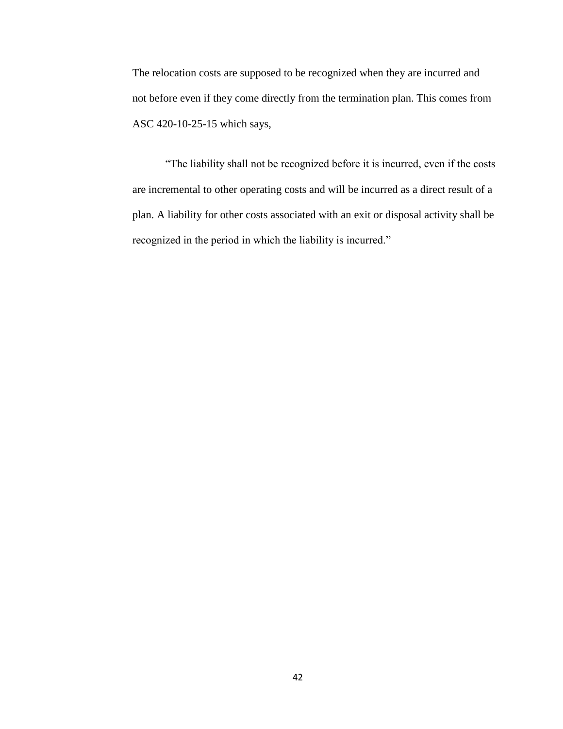The relocation costs are supposed to be recognized when they are incurred and not before even if they come directly from the termination plan. This comes from ASC 420-10-25-15 which says,

"The liability shall not be recognized before it is incurred, even if the costs are incremental to other operating costs and will be incurred as a direct result of a plan. A liability for other costs associated with an exit or disposal activity shall be recognized in the period in which the liability is incurred."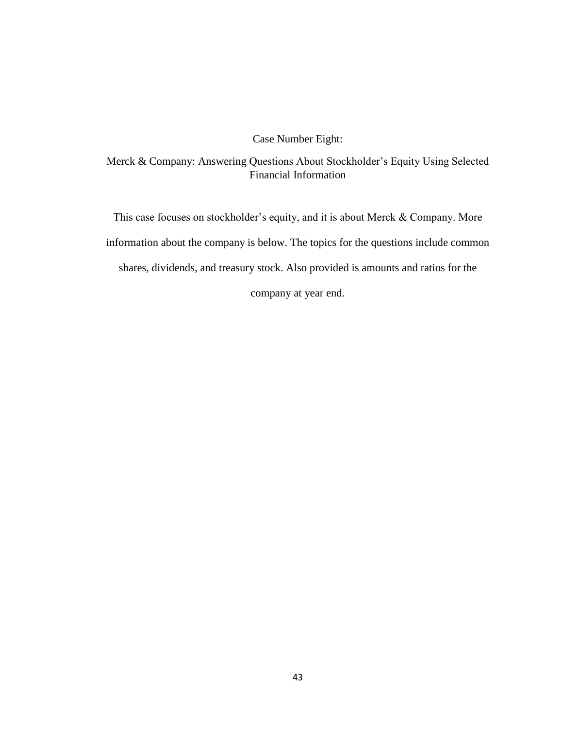Case Number Eight:

Merck & Company: Answering Questions About Stockholder's Equity Using Selected Financial Information

This case focuses on stockholder's equity, and it is about Merck & Company. More information about the company is below. The topics for the questions include common shares, dividends, and treasury stock. Also provided is amounts and ratios for the

company at year end.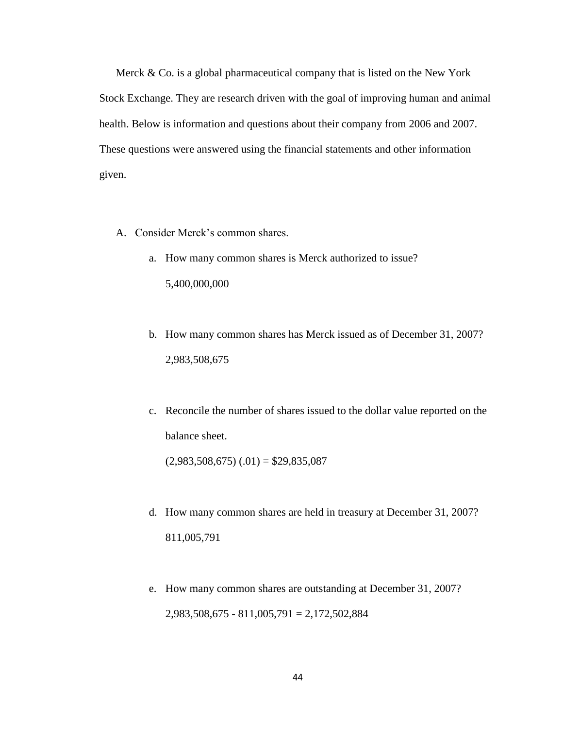Merck & Co. is a global pharmaceutical company that is listed on the New York Stock Exchange. They are research driven with the goal of improving human and animal health. Below is information and questions about their company from 2006 and 2007. These questions were answered using the financial statements and other information given.

- A. Consider Merck's common shares.
	- a. How many common shares is Merck authorized to issue? 5,400,000,000
	- b. How many common shares has Merck issued as of December 31, 2007? 2,983,508,675
	- c. Reconcile the number of shares issued to the dollar value reported on the balance sheet.

 $(2,983,508,675)$   $(.01) = $29,835,087$ 

- d. How many common shares are held in treasury at December 31, 2007? 811,005,791
- e. How many common shares are outstanding at December 31, 2007? 2,983,508,675 - 811,005,791 = 2,172,502,884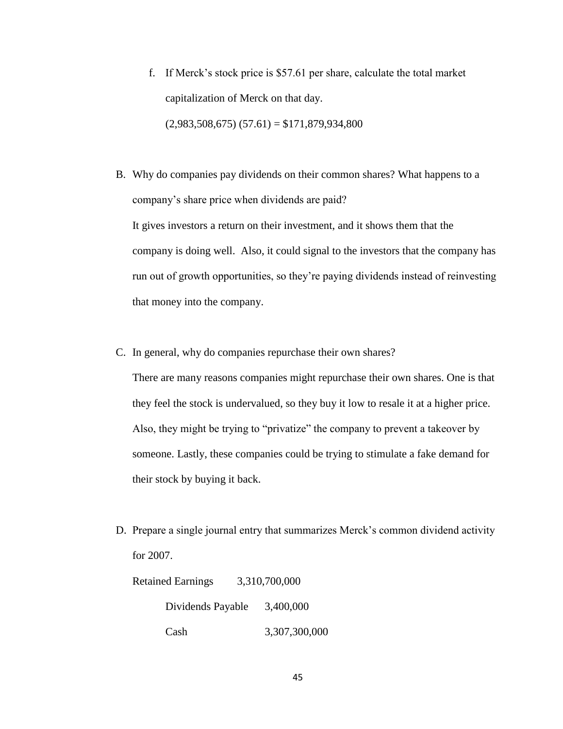- f. If Merck's stock price is \$57.61 per share, calculate the total market capitalization of Merck on that day.  $(2,983,508,675)$   $(57.61) = $171,879,934,800$
- B. Why do companies pay dividends on their common shares? What happens to a company's share price when dividends are paid? It gives investors a return on their investment, and it shows them that the company is doing well. Also, it could signal to the investors that the company has run out of growth opportunities, so they're paying dividends instead of reinvesting that money into the company.
- C. In general, why do companies repurchase their own shares?

There are many reasons companies might repurchase their own shares. One is that they feel the stock is undervalued, so they buy it low to resale it at a higher price. Also, they might be trying to "privatize" the company to prevent a takeover by someone. Lastly, these companies could be trying to stimulate a fake demand for their stock by buying it back.

D. Prepare a single journal entry that summarizes Merck's common dividend activity for 2007.

| <b>Retained Earnings</b> | 3,310,700,000 |
|--------------------------|---------------|
| Dividends Payable        | 3,400,000     |
| Cash                     | 3,307,300,000 |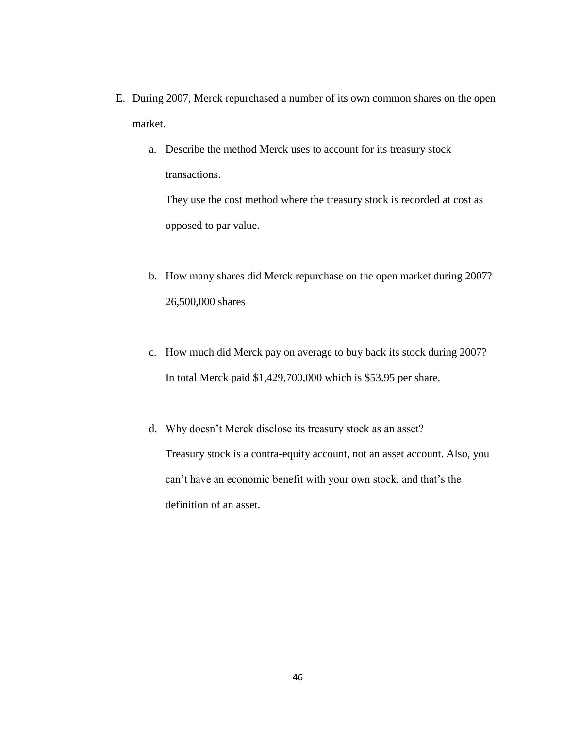- E. During 2007, Merck repurchased a number of its own common shares on the open market.
	- a. Describe the method Merck uses to account for its treasury stock transactions.

They use the cost method where the treasury stock is recorded at cost as opposed to par value.

- b. How many shares did Merck repurchase on the open market during 2007? 26,500,000 shares
- c. How much did Merck pay on average to buy back its stock during 2007? In total Merck paid \$1,429,700,000 which is \$53.95 per share.
- d. Why doesn't Merck disclose its treasury stock as an asset? Treasury stock is a contra-equity account, not an asset account. Also, you can't have an economic benefit with your own stock, and that's the definition of an asset.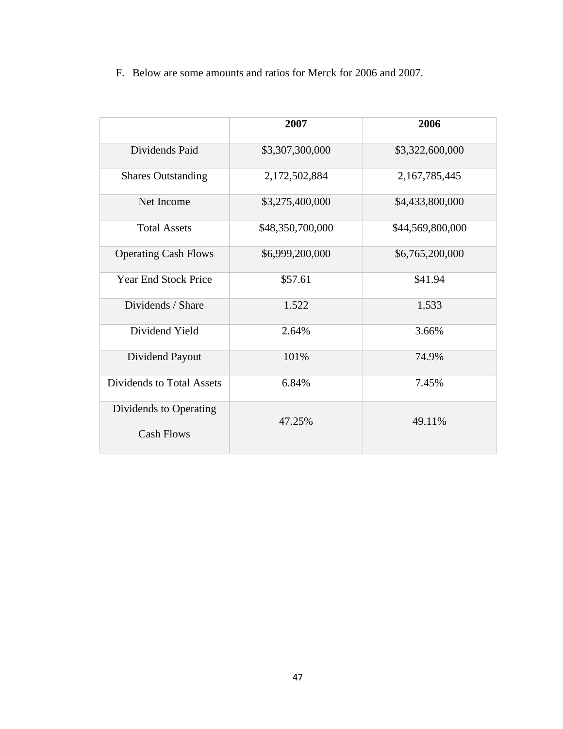F. Below are some amounts and ratios for Merck for 2006 and 2007.

|                                             | 2007             | 2006             |
|---------------------------------------------|------------------|------------------|
| Dividends Paid                              | \$3,307,300,000  | \$3,322,600,000  |
| <b>Shares Outstanding</b>                   | 2,172,502,884    | 2,167,785,445    |
| Net Income                                  | \$3,275,400,000  | \$4,433,800,000  |
| <b>Total Assets</b>                         | \$48,350,700,000 | \$44,569,800,000 |
| <b>Operating Cash Flows</b>                 | \$6,999,200,000  | \$6,765,200,000  |
| <b>Year End Stock Price</b>                 | \$57.61          | \$41.94          |
| Dividends / Share                           | 1.522            | 1.533            |
| Dividend Yield                              | 2.64%            | 3.66%            |
| Dividend Payout                             | 101%             | 74.9%            |
| Dividends to Total Assets                   | 6.84%            | 7.45%            |
| Dividends to Operating<br><b>Cash Flows</b> | 47.25%           | 49.11%           |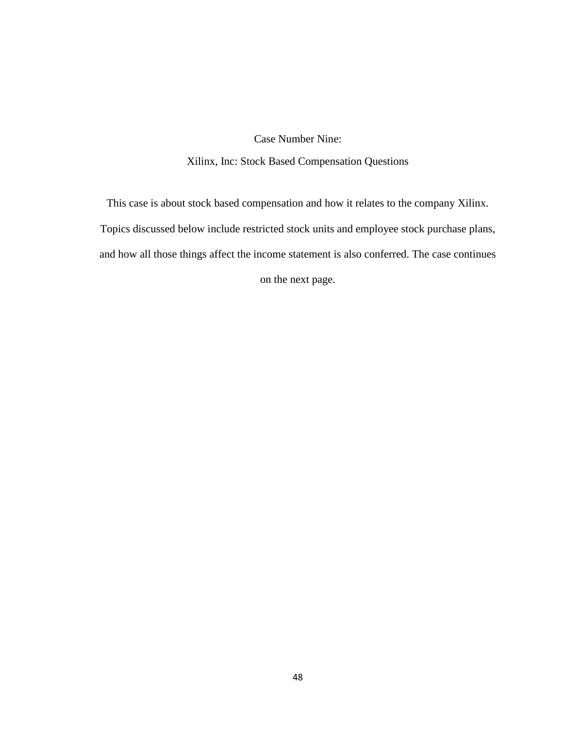Case Number Nine:

Xilinx, Inc: Stock Based Compensation Questions

This case is about stock based compensation and how it relates to the company Xilinx. Topics discussed below include restricted stock units and employee stock purchase plans, and how all those things affect the income statement is also conferred. The case continues on the next page.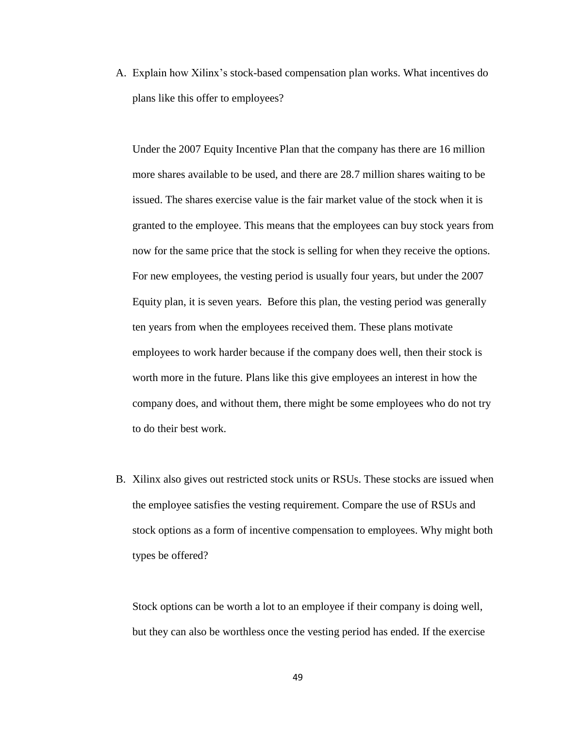A. Explain how Xilinx's stock-based compensation plan works. What incentives do plans like this offer to employees?

Under the 2007 Equity Incentive Plan that the company has there are 16 million more shares available to be used, and there are 28.7 million shares waiting to be issued. The shares exercise value is the fair market value of the stock when it is granted to the employee. This means that the employees can buy stock years from now for the same price that the stock is selling for when they receive the options. For new employees, the vesting period is usually four years, but under the 2007 Equity plan, it is seven years. Before this plan, the vesting period was generally ten years from when the employees received them. These plans motivate employees to work harder because if the company does well, then their stock is worth more in the future. Plans like this give employees an interest in how the company does, and without them, there might be some employees who do not try to do their best work.

B. Xilinx also gives out restricted stock units or RSUs. These stocks are issued when the employee satisfies the vesting requirement. Compare the use of RSUs and stock options as a form of incentive compensation to employees. Why might both types be offered?

Stock options can be worth a lot to an employee if their company is doing well, but they can also be worthless once the vesting period has ended. If the exercise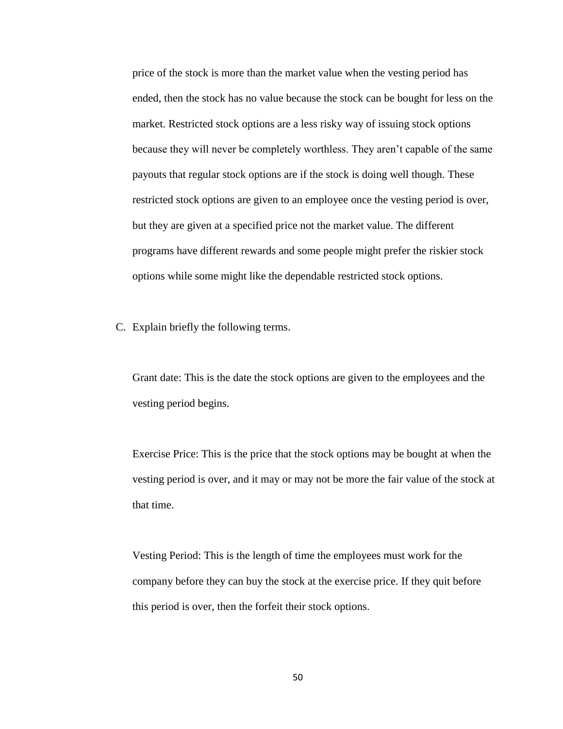price of the stock is more than the market value when the vesting period has ended, then the stock has no value because the stock can be bought for less on the market. Restricted stock options are a less risky way of issuing stock options because they will never be completely worthless. They aren't capable of the same payouts that regular stock options are if the stock is doing well though. These restricted stock options are given to an employee once the vesting period is over, but they are given at a specified price not the market value. The different programs have different rewards and some people might prefer the riskier stock options while some might like the dependable restricted stock options.

C. Explain briefly the following terms.

Grant date: This is the date the stock options are given to the employees and the vesting period begins.

Exercise Price: This is the price that the stock options may be bought at when the vesting period is over, and it may or may not be more the fair value of the stock at that time.

Vesting Period: This is the length of time the employees must work for the company before they can buy the stock at the exercise price. If they quit before this period is over, then the forfeit their stock options.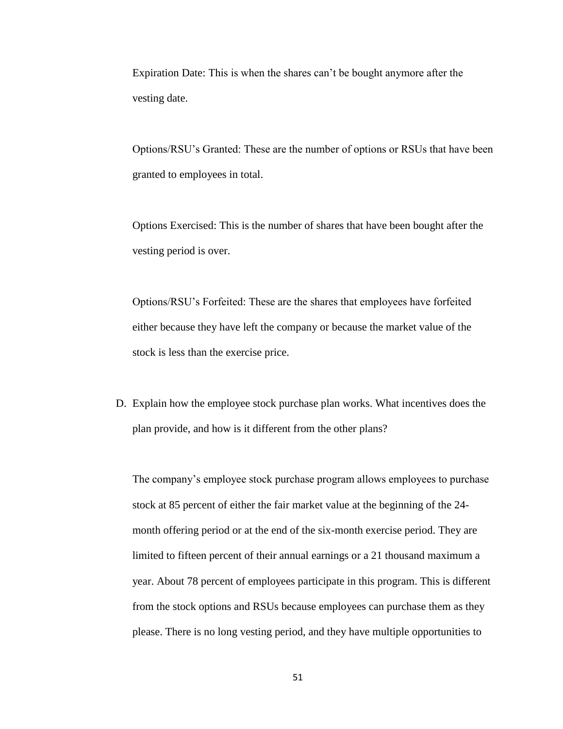Expiration Date: This is when the shares can't be bought anymore after the vesting date.

Options/RSU's Granted: These are the number of options or RSUs that have been granted to employees in total.

Options Exercised: This is the number of shares that have been bought after the vesting period is over.

Options/RSU's Forfeited: These are the shares that employees have forfeited either because they have left the company or because the market value of the stock is less than the exercise price.

D. Explain how the employee stock purchase plan works. What incentives does the plan provide, and how is it different from the other plans?

The company's employee stock purchase program allows employees to purchase stock at 85 percent of either the fair market value at the beginning of the 24 month offering period or at the end of the six-month exercise period. They are limited to fifteen percent of their annual earnings or a 21 thousand maximum a year. About 78 percent of employees participate in this program. This is different from the stock options and RSUs because employees can purchase them as they please. There is no long vesting period, and they have multiple opportunities to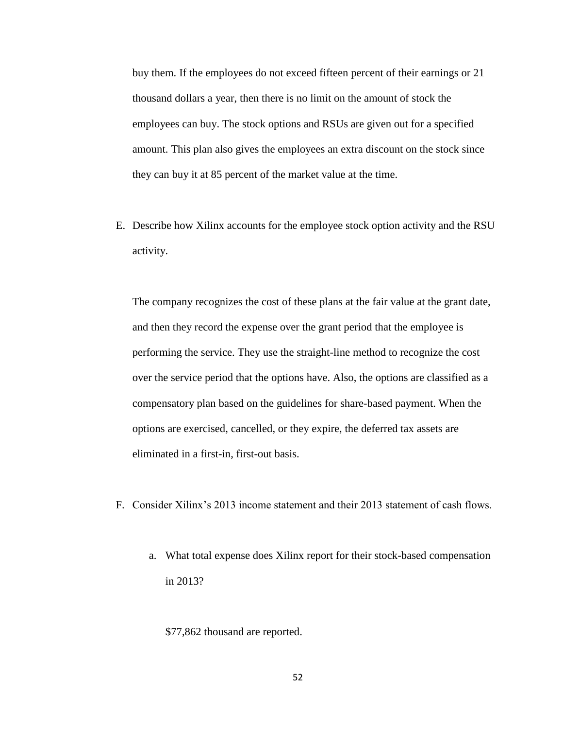buy them. If the employees do not exceed fifteen percent of their earnings or 21 thousand dollars a year, then there is no limit on the amount of stock the employees can buy. The stock options and RSUs are given out for a specified amount. This plan also gives the employees an extra discount on the stock since they can buy it at 85 percent of the market value at the time.

E. Describe how Xilinx accounts for the employee stock option activity and the RSU activity.

The company recognizes the cost of these plans at the fair value at the grant date, and then they record the expense over the grant period that the employee is performing the service. They use the straight-line method to recognize the cost over the service period that the options have. Also, the options are classified as a compensatory plan based on the guidelines for share-based payment. When the options are exercised, cancelled, or they expire, the deferred tax assets are eliminated in a first-in, first-out basis.

- F. Consider Xilinx's 2013 income statement and their 2013 statement of cash flows.
	- a. What total expense does Xilinx report for their stock-based compensation in 2013?
		- \$77,862 thousand are reported.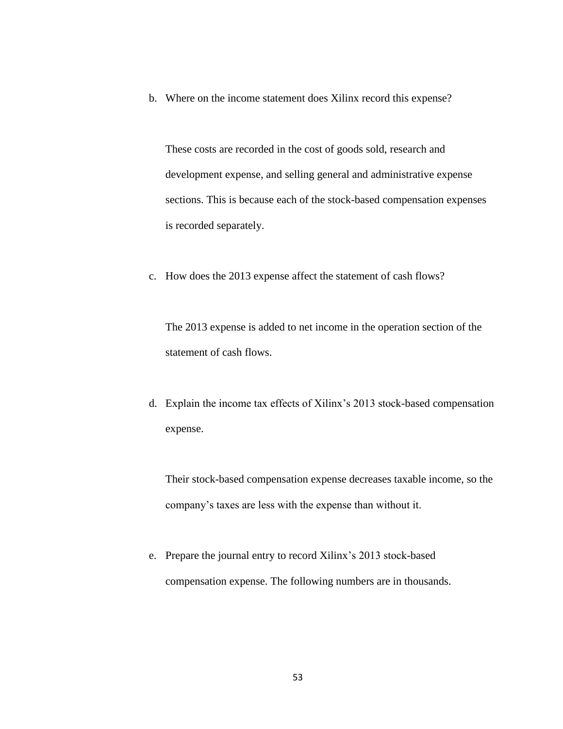b. Where on the income statement does Xilinx record this expense?

These costs are recorded in the cost of goods sold, research and development expense, and selling general and administrative expense sections. This is because each of the stock-based compensation expenses is recorded separately.

c. How does the 2013 expense affect the statement of cash flows?

The 2013 expense is added to net income in the operation section of the statement of cash flows.

d. Explain the income tax effects of Xilinx's 2013 stock-based compensation expense.

Their stock-based compensation expense decreases taxable income, so the company's taxes are less with the expense than without it.

e. Prepare the journal entry to record Xilinx's 2013 stock-based compensation expense. The following numbers are in thousands.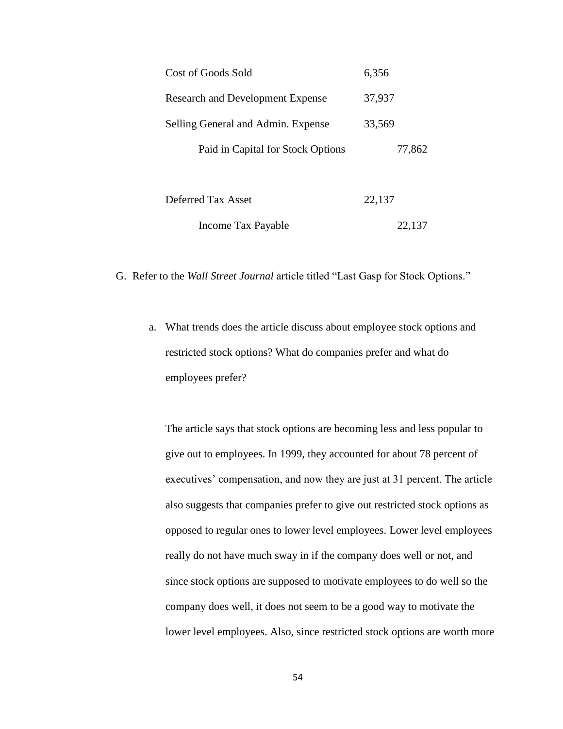| 6,356  |
|--------|
| 37,937 |
| 33,569 |
| 77,862 |
|        |
|        |
|        |

G. Refer to the *Wall Street Journal* article titled "Last Gasp for Stock Options."

a. What trends does the article discuss about employee stock options and restricted stock options? What do companies prefer and what do employees prefer?

Income Tax Payable 22,137

The article says that stock options are becoming less and less popular to give out to employees. In 1999, they accounted for about 78 percent of executives' compensation, and now they are just at 31 percent. The article also suggests that companies prefer to give out restricted stock options as opposed to regular ones to lower level employees. Lower level employees really do not have much sway in if the company does well or not, and since stock options are supposed to motivate employees to do well so the company does well, it does not seem to be a good way to motivate the lower level employees. Also, since restricted stock options are worth more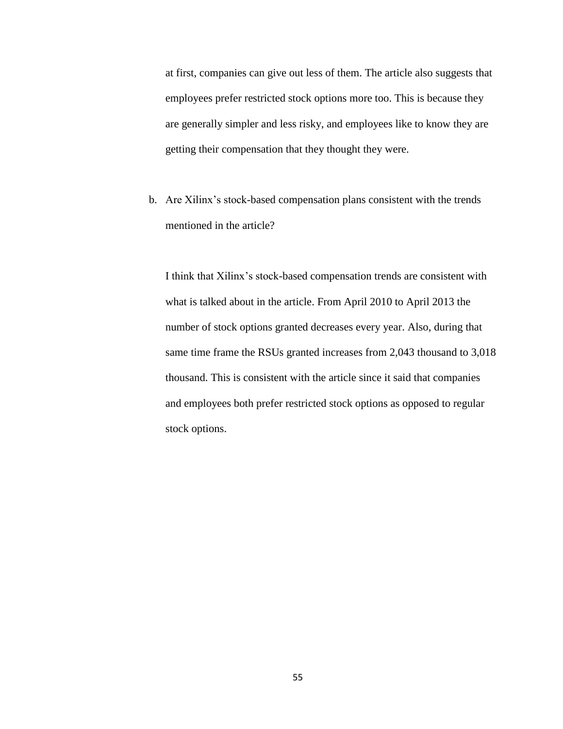at first, companies can give out less of them. The article also suggests that employees prefer restricted stock options more too. This is because they are generally simpler and less risky, and employees like to know they are getting their compensation that they thought they were.

b. Are Xilinx's stock-based compensation plans consistent with the trends mentioned in the article?

I think that Xilinx's stock-based compensation trends are consistent with what is talked about in the article. From April 2010 to April 2013 the number of stock options granted decreases every year. Also, during that same time frame the RSUs granted increases from 2,043 thousand to 3,018 thousand. This is consistent with the article since it said that companies and employees both prefer restricted stock options as opposed to regular stock options.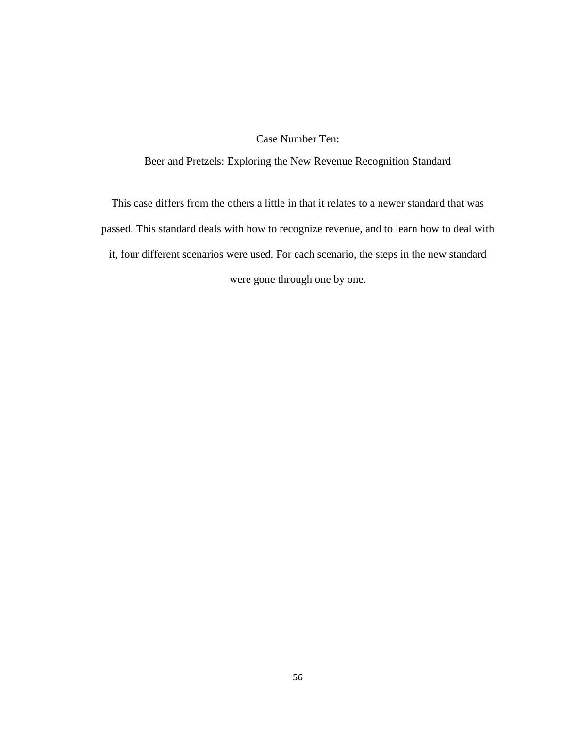## Case Number Ten:

#### Beer and Pretzels: Exploring the New Revenue Recognition Standard

This case differs from the others a little in that it relates to a newer standard that was passed. This standard deals with how to recognize revenue, and to learn how to deal with it, four different scenarios were used. For each scenario, the steps in the new standard were gone through one by one.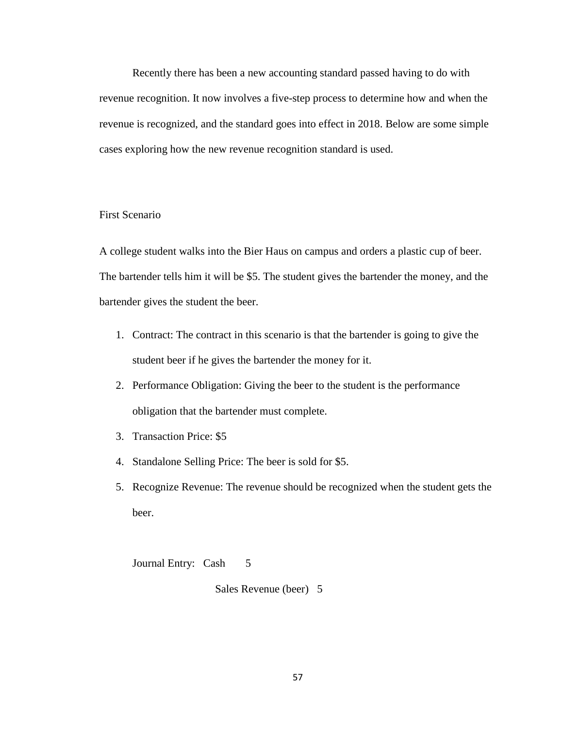Recently there has been a new accounting standard passed having to do with revenue recognition. It now involves a five-step process to determine how and when the revenue is recognized, and the standard goes into effect in 2018. Below are some simple cases exploring how the new revenue recognition standard is used.

### First Scenario

A college student walks into the Bier Haus on campus and orders a plastic cup of beer. The bartender tells him it will be \$5. The student gives the bartender the money, and the bartender gives the student the beer.

- 1. Contract: The contract in this scenario is that the bartender is going to give the student beer if he gives the bartender the money for it.
- 2. Performance Obligation: Giving the beer to the student is the performance obligation that the bartender must complete.
- 3. Transaction Price: \$5
- 4. Standalone Selling Price: The beer is sold for \$5.
- 5. Recognize Revenue: The revenue should be recognized when the student gets the beer.

Journal Entry: Cash 5

Sales Revenue (beer) 5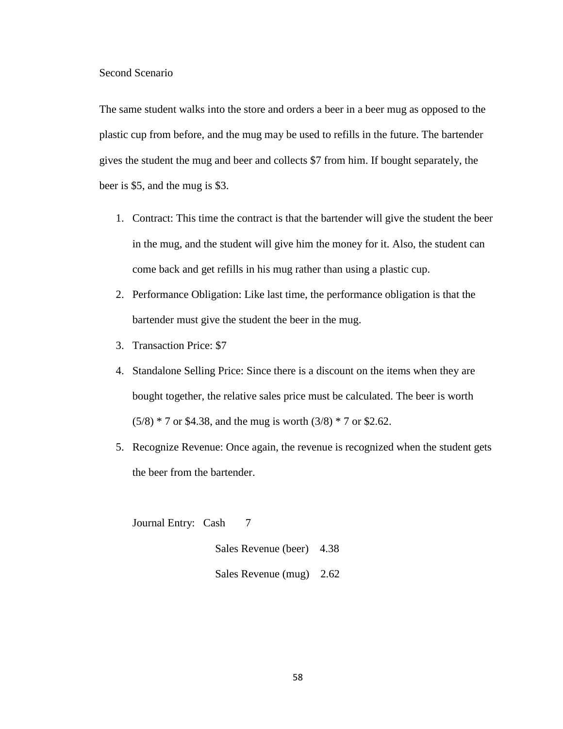#### Second Scenario

The same student walks into the store and orders a beer in a beer mug as opposed to the plastic cup from before, and the mug may be used to refills in the future. The bartender gives the student the mug and beer and collects \$7 from him. If bought separately, the beer is \$5, and the mug is \$3.

- 1. Contract: This time the contract is that the bartender will give the student the beer in the mug, and the student will give him the money for it. Also, the student can come back and get refills in his mug rather than using a plastic cup.
- 2. Performance Obligation: Like last time, the performance obligation is that the bartender must give the student the beer in the mug.
- 3. Transaction Price: \$7
- 4. Standalone Selling Price: Since there is a discount on the items when they are bought together, the relative sales price must be calculated. The beer is worth  $(5/8) * 7$  or \$4.38, and the mug is worth  $(3/8) * 7$  or \$2.62.
- 5. Recognize Revenue: Once again, the revenue is recognized when the student gets the beer from the bartender.

Journal Entry: Cash 7

Sales Revenue (beer) 4.38 Sales Revenue (mug) 2.62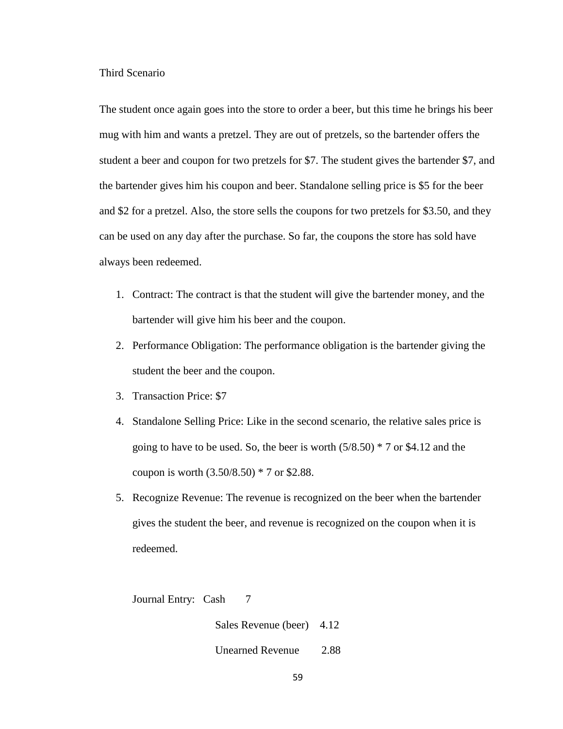Third Scenario

The student once again goes into the store to order a beer, but this time he brings his beer mug with him and wants a pretzel. They are out of pretzels, so the bartender offers the student a beer and coupon for two pretzels for \$7. The student gives the bartender \$7, and the bartender gives him his coupon and beer. Standalone selling price is \$5 for the beer and \$2 for a pretzel. Also, the store sells the coupons for two pretzels for \$3.50, and they can be used on any day after the purchase. So far, the coupons the store has sold have always been redeemed.

- 1. Contract: The contract is that the student will give the bartender money, and the bartender will give him his beer and the coupon.
- 2. Performance Obligation: The performance obligation is the bartender giving the student the beer and the coupon.
- 3. Transaction Price: \$7
- 4. Standalone Selling Price: Like in the second scenario, the relative sales price is going to have to be used. So, the beer is worth  $(5/8.50) * 7$  or \$4.12 and the coupon is worth (3.50/8.50) \* 7 or \$2.88.
- 5. Recognize Revenue: The revenue is recognized on the beer when the bartender gives the student the beer, and revenue is recognized on the coupon when it is redeemed.

Journal Entry: Cash 7

Sales Revenue (beer) 4.12

Unearned Revenue 2.88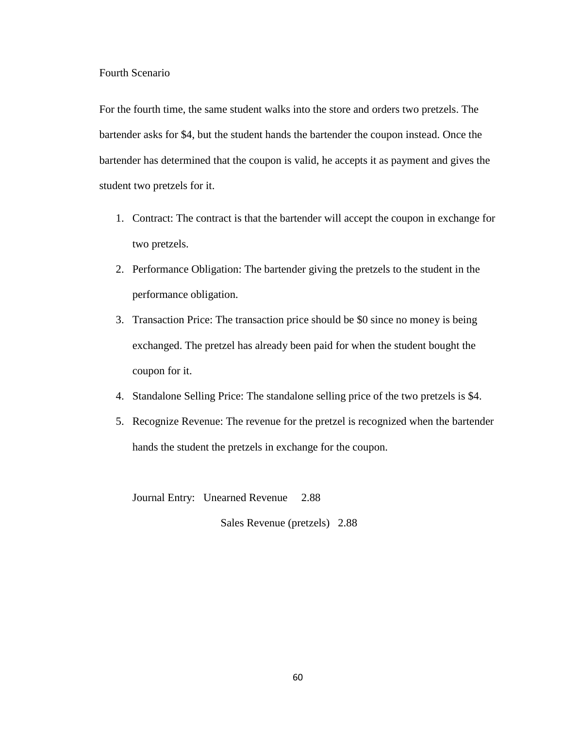#### Fourth Scenario

For the fourth time, the same student walks into the store and orders two pretzels. The bartender asks for \$4, but the student hands the bartender the coupon instead. Once the bartender has determined that the coupon is valid, he accepts it as payment and gives the student two pretzels for it.

- 1. Contract: The contract is that the bartender will accept the coupon in exchange for two pretzels.
- 2. Performance Obligation: The bartender giving the pretzels to the student in the performance obligation.
- 3. Transaction Price: The transaction price should be \$0 since no money is being exchanged. The pretzel has already been paid for when the student bought the coupon for it.
- 4. Standalone Selling Price: The standalone selling price of the two pretzels is \$4.
- 5. Recognize Revenue: The revenue for the pretzel is recognized when the bartender hands the student the pretzels in exchange for the coupon.

Journal Entry: Unearned Revenue 2.88

Sales Revenue (pretzels) 2.88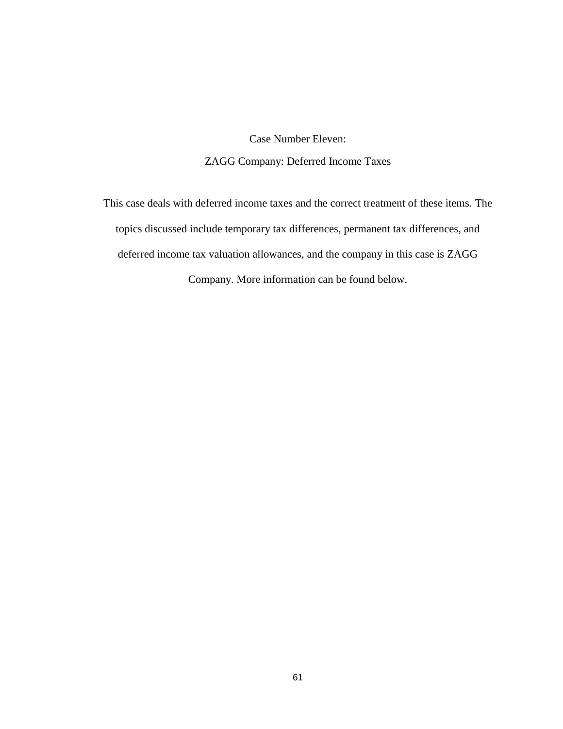Case Number Eleven: ZAGG Company: Deferred Income Taxes

This case deals with deferred income taxes and the correct treatment of these items. The topics discussed include temporary tax differences, permanent tax differences, and deferred income tax valuation allowances, and the company in this case is ZAGG Company. More information can be found below.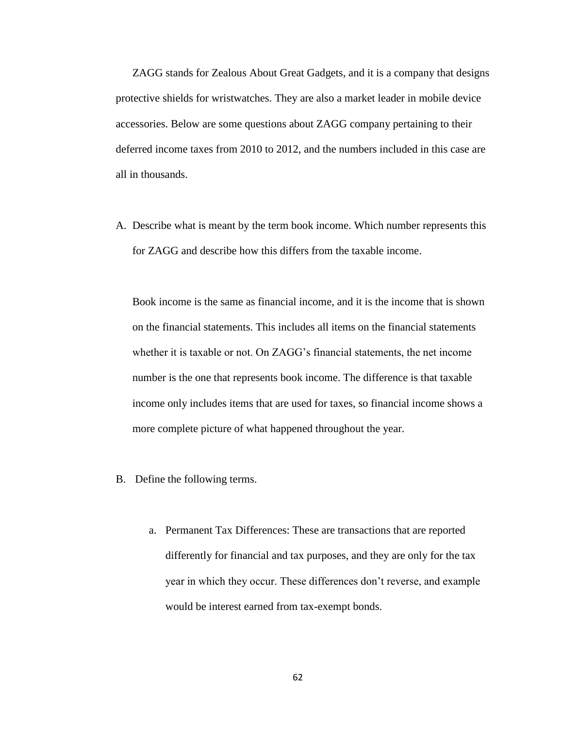ZAGG stands for Zealous About Great Gadgets, and it is a company that designs protective shields for wristwatches. They are also a market leader in mobile device accessories. Below are some questions about ZAGG company pertaining to their deferred income taxes from 2010 to 2012, and the numbers included in this case are all in thousands.

A. Describe what is meant by the term book income. Which number represents this for ZAGG and describe how this differs from the taxable income.

Book income is the same as financial income, and it is the income that is shown on the financial statements. This includes all items on the financial statements whether it is taxable or not. On ZAGG's financial statements, the net income number is the one that represents book income. The difference is that taxable income only includes items that are used for taxes, so financial income shows a more complete picture of what happened throughout the year.

- B. Define the following terms.
	- a. Permanent Tax Differences: These are transactions that are reported differently for financial and tax purposes, and they are only for the tax year in which they occur. These differences don't reverse, and example would be interest earned from tax-exempt bonds.

62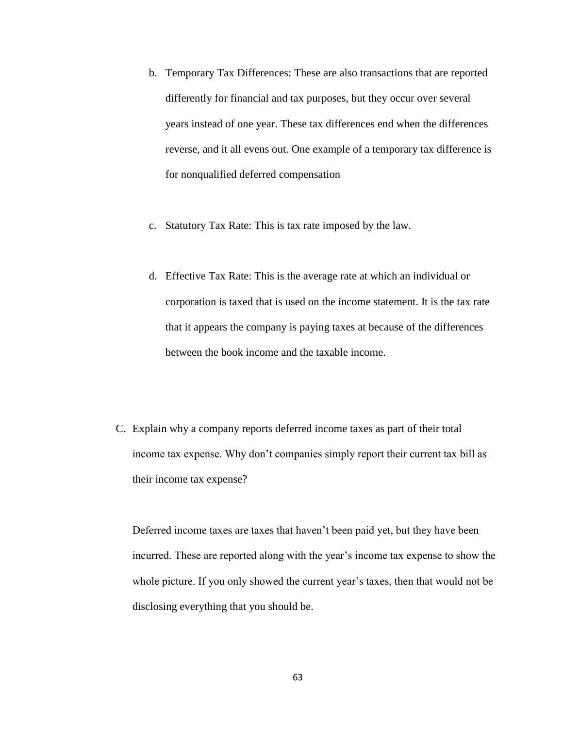- b. Temporary Tax Differences: These are also transactions that are reported differently for financial and tax purposes, but they occur over several years instead of one year. These tax differences end when the differences reverse, and it all evens out. One example of a temporary tax difference is for nonqualified deferred compensation
- c. Statutory Tax Rate: This is tax rate imposed by the law.
- d. Effective Tax Rate: This is the average rate at which an individual or corporation is taxed that is used on the income statement. It is the tax rate that it appears the company is paying taxes at because of the differences between the book income and the taxable income.
- C. Explain why a company reports deferred income taxes as part of their total income tax expense. Why don't companies simply report their current tax bill as their income tax expense?

Deferred income taxes are taxes that haven't been paid yet, but they have been incurred. These are reported along with the year's income tax expense to show the whole picture. If you only showed the current year's taxes, then that would not be disclosing everything that you should be.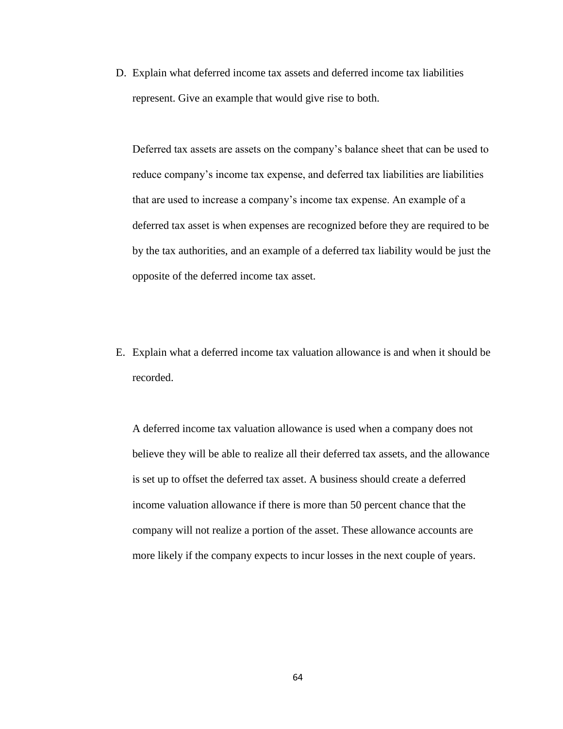D. Explain what deferred income tax assets and deferred income tax liabilities represent. Give an example that would give rise to both.

Deferred tax assets are assets on the company's balance sheet that can be used to reduce company's income tax expense, and deferred tax liabilities are liabilities that are used to increase a company's income tax expense. An example of a deferred tax asset is when expenses are recognized before they are required to be by the tax authorities, and an example of a deferred tax liability would be just the opposite of the deferred income tax asset.

E. Explain what a deferred income tax valuation allowance is and when it should be recorded.

A deferred income tax valuation allowance is used when a company does not believe they will be able to realize all their deferred tax assets, and the allowance is set up to offset the deferred tax asset. A business should create a deferred income valuation allowance if there is more than 50 percent chance that the company will not realize a portion of the asset. These allowance accounts are more likely if the company expects to incur losses in the next couple of years.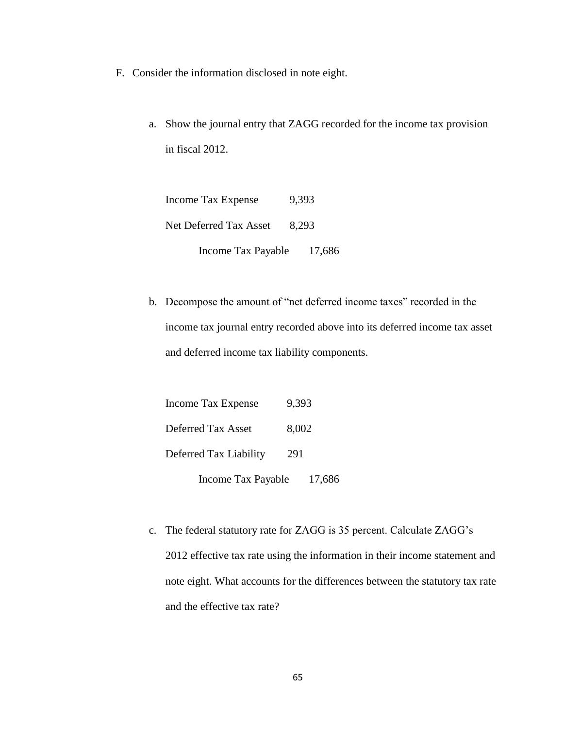- F. Consider the information disclosed in note eight.
	- a. Show the journal entry that ZAGG recorded for the income tax provision in fiscal 2012.

Income Tax Expense 9,393 Net Deferred Tax Asset 8,293 Income Tax Payable 17,686

b. Decompose the amount of "net deferred income taxes" recorded in the income tax journal entry recorded above into its deferred income tax asset and deferred income tax liability components.

| <b>Income Tax Expense</b> | 9,393  |
|---------------------------|--------|
| Deferred Tax Asset        | 8,002  |
| Deferred Tax Liability    | 291    |
| Income Tax Payable        | 17,686 |

c. The federal statutory rate for ZAGG is 35 percent. Calculate ZAGG's 2012 effective tax rate using the information in their income statement and note eight. What accounts for the differences between the statutory tax rate and the effective tax rate?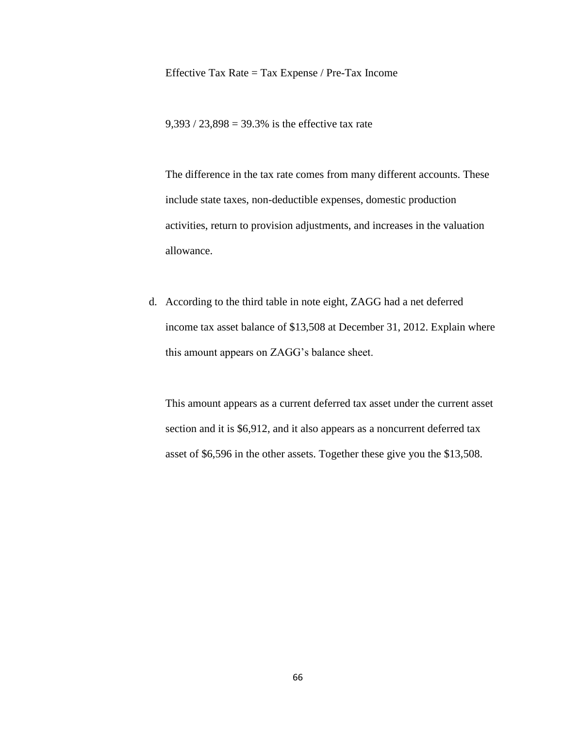Effective Tax Rate = Tax Expense / Pre-Tax Income

 $9,393 / 23,898 = 39.3\%$  is the effective tax rate

The difference in the tax rate comes from many different accounts. These include state taxes, non-deductible expenses, domestic production activities, return to provision adjustments, and increases in the valuation allowance.

d. According to the third table in note eight, ZAGG had a net deferred income tax asset balance of \$13,508 at December 31, 2012. Explain where this amount appears on ZAGG's balance sheet.

This amount appears as a current deferred tax asset under the current asset section and it is \$6,912, and it also appears as a noncurrent deferred tax asset of \$6,596 in the other assets. Together these give you the \$13,508.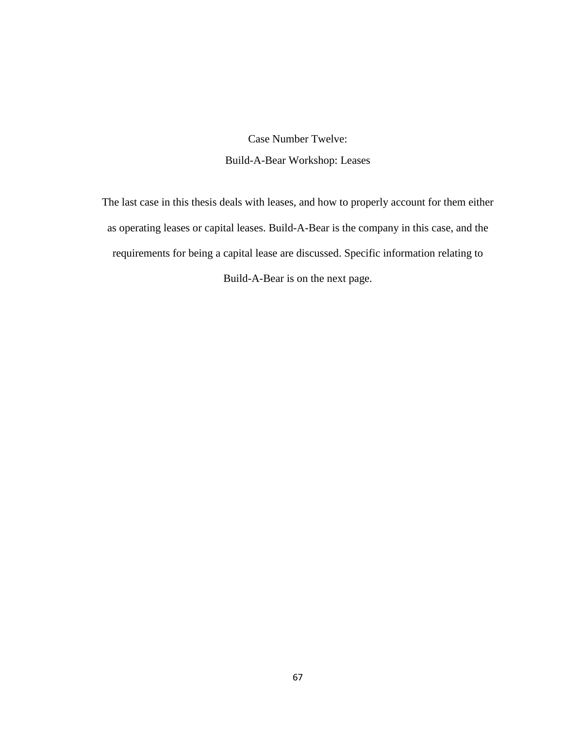Case Number Twelve: Build-A-Bear Workshop: Leases

The last case in this thesis deals with leases, and how to properly account for them either as operating leases or capital leases. Build-A-Bear is the company in this case, and the requirements for being a capital lease are discussed. Specific information relating to Build-A-Bear is on the next page.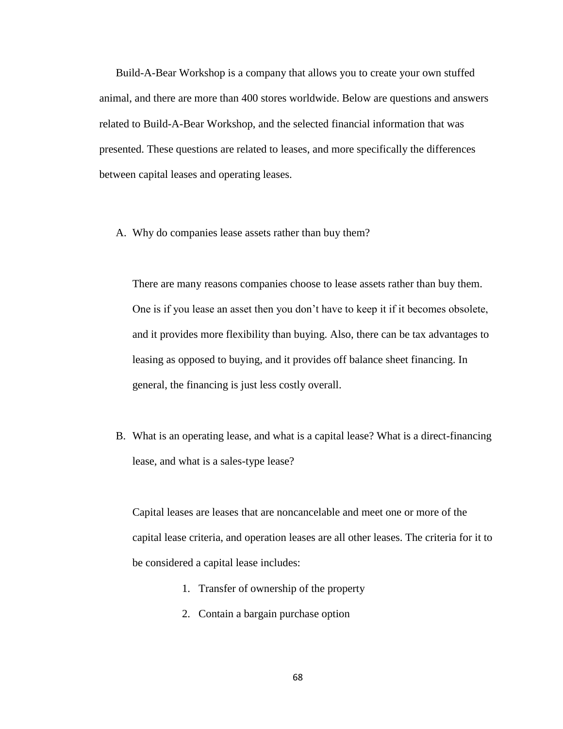Build-A-Bear Workshop is a company that allows you to create your own stuffed animal, and there are more than 400 stores worldwide. Below are questions and answers related to Build-A-Bear Workshop, and the selected financial information that was presented. These questions are related to leases, and more specifically the differences between capital leases and operating leases.

A. Why do companies lease assets rather than buy them?

There are many reasons companies choose to lease assets rather than buy them. One is if you lease an asset then you don't have to keep it if it becomes obsolete, and it provides more flexibility than buying. Also, there can be tax advantages to leasing as opposed to buying, and it provides off balance sheet financing. In general, the financing is just less costly overall.

B. What is an operating lease, and what is a capital lease? What is a direct-financing lease, and what is a sales-type lease?

Capital leases are leases that are noncancelable and meet one or more of the capital lease criteria, and operation leases are all other leases. The criteria for it to be considered a capital lease includes:

- 1. Transfer of ownership of the property
- 2. Contain a bargain purchase option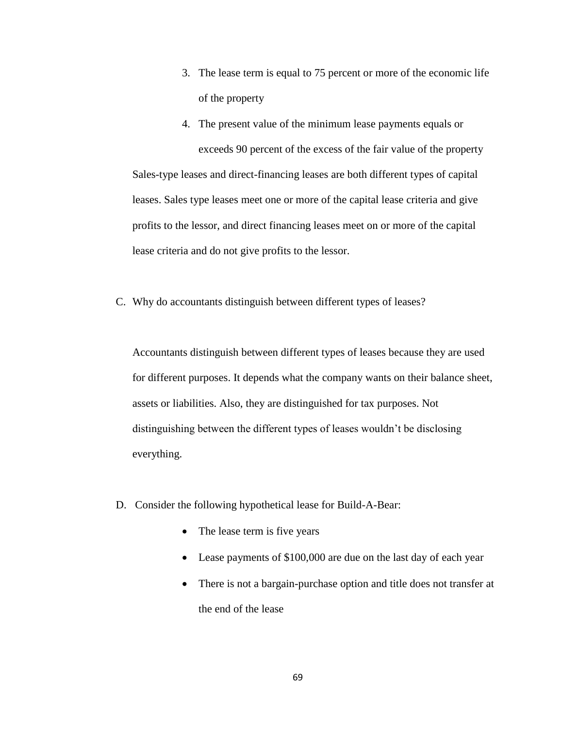- 3. The lease term is equal to 75 percent or more of the economic life of the property
- 4. The present value of the minimum lease payments equals or exceeds 90 percent of the excess of the fair value of the property Sales-type leases and direct-financing leases are both different types of capital leases. Sales type leases meet one or more of the capital lease criteria and give profits to the lessor, and direct financing leases meet on or more of the capital lease criteria and do not give profits to the lessor.
- C. Why do accountants distinguish between different types of leases?

Accountants distinguish between different types of leases because they are used for different purposes. It depends what the company wants on their balance sheet, assets or liabilities. Also, they are distinguished for tax purposes. Not distinguishing between the different types of leases wouldn't be disclosing everything.

- D. Consider the following hypothetical lease for Build-A-Bear:
	- The lease term is five years
	- Lease payments of \$100,000 are due on the last day of each year
	- There is not a bargain-purchase option and title does not transfer at the end of the lease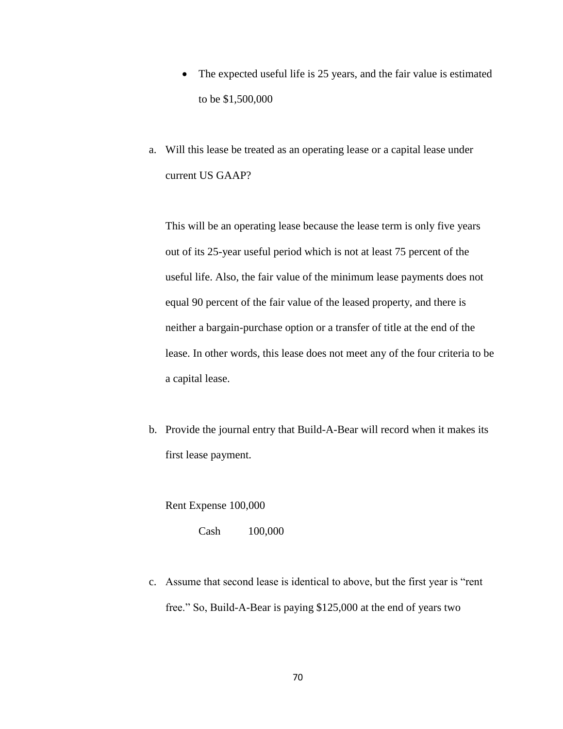- The expected useful life is 25 years, and the fair value is estimated to be \$1,500,000
- a. Will this lease be treated as an operating lease or a capital lease under current US GAAP?

This will be an operating lease because the lease term is only five years out of its 25-year useful period which is not at least 75 percent of the useful life. Also, the fair value of the minimum lease payments does not equal 90 percent of the fair value of the leased property, and there is neither a bargain-purchase option or a transfer of title at the end of the lease. In other words, this lease does not meet any of the four criteria to be a capital lease.

b. Provide the journal entry that Build-A-Bear will record when it makes its first lease payment.

Rent Expense 100,000

Cash 100,000

c. Assume that second lease is identical to above, but the first year is "rent free." So, Build-A-Bear is paying \$125,000 at the end of years two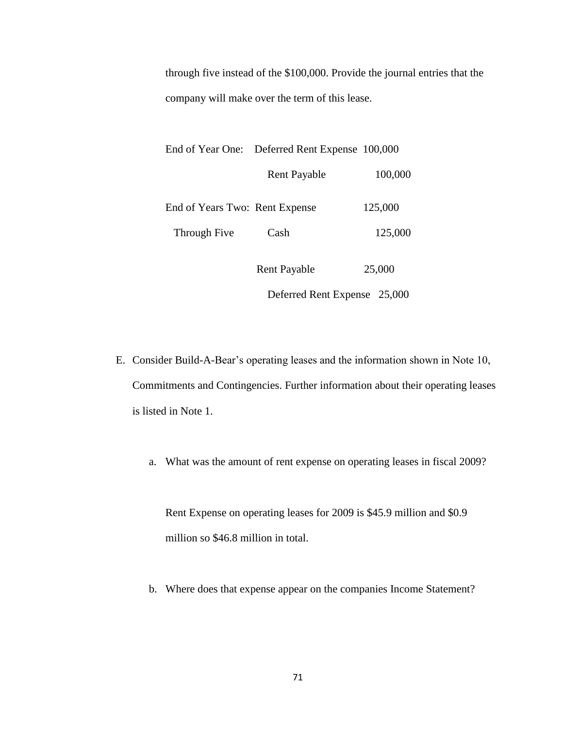through five instead of the \$100,000. Provide the journal entries that the company will make over the term of this lease.

|                                | End of Year One: Deferred Rent Expense 100,000 |         |
|--------------------------------|------------------------------------------------|---------|
|                                | <b>Rent Payable</b>                            | 100,000 |
| End of Years Two: Rent Expense |                                                | 125,000 |
| Through Five                   | Cash                                           | 125,000 |
|                                | <b>Rent Payable</b>                            | 25,000  |

Deferred Rent Expense 25,000

- E. Consider Build-A-Bear's operating leases and the information shown in Note 10, Commitments and Contingencies. Further information about their operating leases is listed in Note 1.
	- a. What was the amount of rent expense on operating leases in fiscal 2009?

Rent Expense on operating leases for 2009 is \$45.9 million and \$0.9 million so \$46.8 million in total.

b. Where does that expense appear on the companies Income Statement?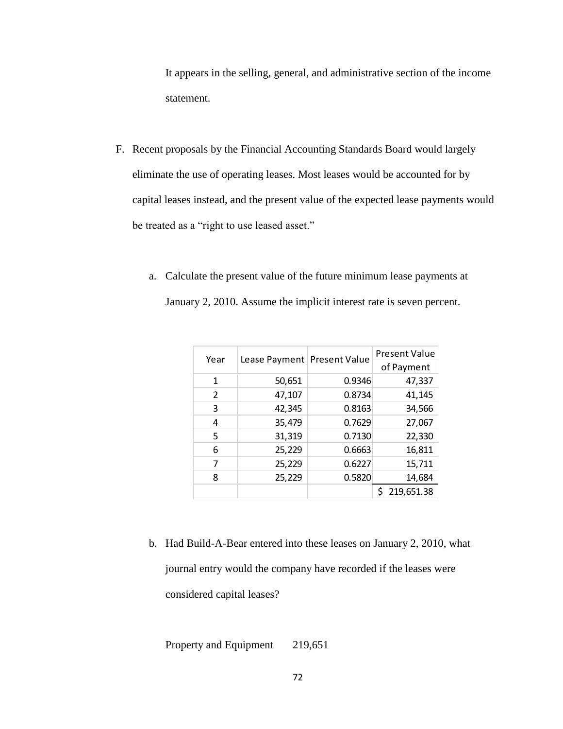It appears in the selling, general, and administrative section of the income statement.

- F. Recent proposals by the Financial Accounting Standards Board would largely eliminate the use of operating leases. Most leases would be accounted for by capital leases instead, and the present value of the expected lease payments would be treated as a "right to use leased asset."
	- a. Calculate the present value of the future minimum lease payments at January 2, 2010. Assume the implicit interest rate is seven percent.

| Year | Lease Payment Present Value |        | Present Value |
|------|-----------------------------|--------|---------------|
|      |                             |        | of Payment    |
| 1    | 50,651                      | 0.9346 | 47,337        |
| 2    | 47,107                      | 0.8734 | 41,145        |
| 3    | 42,345                      | 0.8163 | 34,566        |
| 4    | 35,479                      | 0.7629 | 27,067        |
| 5    | 31,319                      | 0.7130 | 22,330        |
| 6    | 25,229                      | 0.6663 | 16,811        |
| 7    | 25,229                      | 0.6227 | 15,711        |
| 8    | 25,229                      | 0.5820 | 14,684        |
|      |                             |        | 219,651.38    |

b. Had Build-A-Bear entered into these leases on January 2, 2010, what journal entry would the company have recorded if the leases were considered capital leases?

Property and Equipment 219,651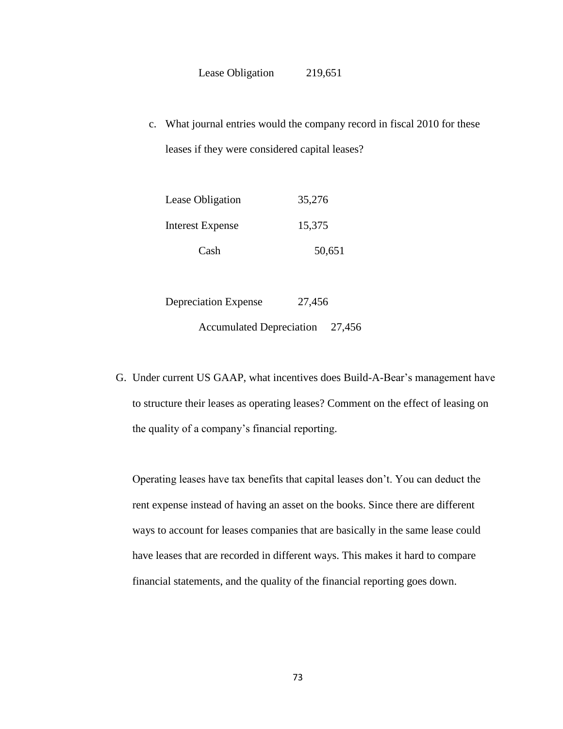c. What journal entries would the company record in fiscal 2010 for these leases if they were considered capital leases?

| Cash             | 50,651 |
|------------------|--------|
| Interest Expense | 15,375 |
| Lease Obligation | 35,276 |

Depreciation Expense 27,456 Accumulated Depreciation 27,456

G. Under current US GAAP, what incentives does Build-A-Bear's management have to structure their leases as operating leases? Comment on the effect of leasing on the quality of a company's financial reporting.

Operating leases have tax benefits that capital leases don't. You can deduct the rent expense instead of having an asset on the books. Since there are different ways to account for leases companies that are basically in the same lease could have leases that are recorded in different ways. This makes it hard to compare financial statements, and the quality of the financial reporting goes down.